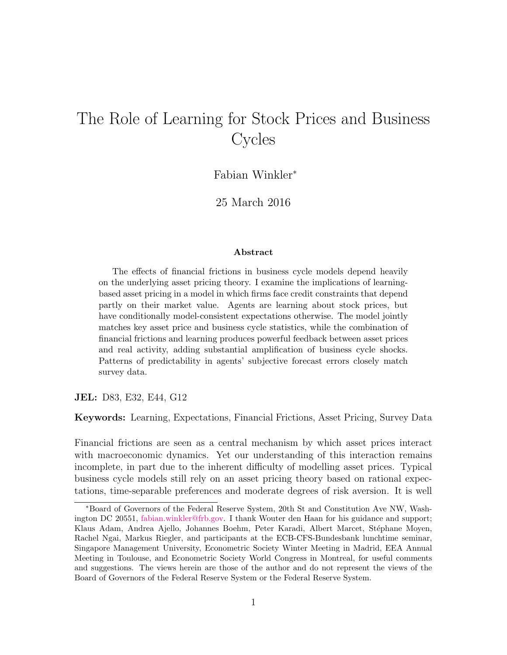# The Role of Learning for Stock Prices and Business **Cycles**

Fabian Winkler<sup>∗</sup>

25 March 2016

#### Abstract

The effects of financial frictions in business cycle models depend heavily on the underlying asset pricing theory. I examine the implications of learningbased asset pricing in a model in which firms face credit constraints that depend partly on their market value. Agents are learning about stock prices, but have conditionally model-consistent expectations otherwise. The model jointly matches key asset price and business cycle statistics, while the combination of financial frictions and learning produces powerful feedback between asset prices and real activity, adding substantial amplification of business cycle shocks. Patterns of predictability in agents' subjective forecast errors closely match survey data.

#### JEL: D83, E32, E44, G12

Keywords: Learning, Expectations, Financial Frictions, Asset Pricing, Survey Data

Financial frictions are seen as a central mechanism by which asset prices interact with macroeconomic dynamics. Yet our understanding of this interaction remains incomplete, in part due to the inherent difficulty of modelling asset prices. Typical business cycle models still rely on an asset pricing theory based on rational expectations, time-separable preferences and moderate degrees of risk aversion. It is well

<sup>∗</sup>Board of Governors of the Federal Reserve System, 20th St and Constitution Ave NW, Washington DC 20551, [fabian.winkler@frb.gov.](mailto:mailto:fabian.winkler@frb.gov) I thank Wouter den Haan for his guidance and support; Klaus Adam, Andrea Ajello, Johannes Boehm, Peter Karadi, Albert Marcet, Stéphane Moyen, Rachel Ngai, Markus Riegler, and participants at the ECB-CFS-Bundesbank lunchtime seminar, Singapore Management University, Econometric Society Winter Meeting in Madrid, EEA Annual Meeting in Toulouse, and Econometric Society World Congress in Montreal, for useful comments and suggestions. The views herein are those of the author and do not represent the views of the Board of Governors of the Federal Reserve System or the Federal Reserve System.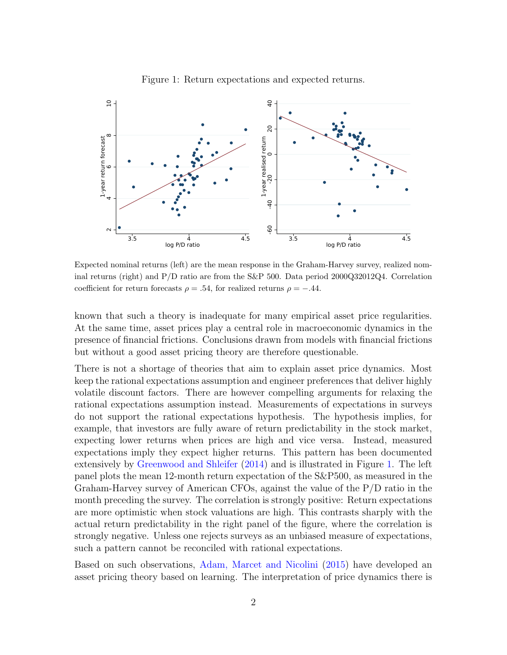<span id="page-1-0"></span>

Figure 1: Return expectations and expected returns.

Expected nominal returns (left) are the mean response in the Graham-Harvey survey, realized nominal returns (right) and P/D ratio are from the S&P 500. Data period 2000Q32012Q4. Correlation coefficient for return forecasts  $\rho = .54$ , for realized returns  $\rho = -.44$ .

known that such a theory is inadequate for many empirical asset price regularities. At the same time, asset prices play a central role in macroeconomic dynamics in the presence of financial frictions. Conclusions drawn from models with financial frictions but without a good asset pricing theory are therefore questionable.

There is not a shortage of theories that aim to explain asset price dynamics. Most keep the rational expectations assumption and engineer preferences that deliver highly volatile discount factors. There are however compelling arguments for relaxing the rational expectations assumption instead. Measurements of expectations in surveys do not support the rational expectations hypothesis. The hypothesis implies, for example, that investors are fully aware of return predictability in the stock market, expecting lower returns when prices are high and vice versa. Instead, measured expectations imply they expect higher returns. This pattern has been documented extensively by [Greenwood and Shleifer](#page-37-0) [\(2014\)](#page-37-0) and is illustrated in Figure [1.](#page-1-0) The left panel plots the mean 12-month return expectation of the S&P500, as measured in the Graham-Harvey survey of American CFOs, against the value of the P/D ratio in the month preceding the survey. The correlation is strongly positive: Return expectations are more optimistic when stock valuations are high. This contrasts sharply with the actual return predictability in the right panel of the figure, where the correlation is strongly negative. Unless one rejects surveys as an unbiased measure of expectations, such a pattern cannot be reconciled with rational expectations.

Based on such observations, [Adam, Marcet and Nicolini](#page-36-0) [\(2015\)](#page-36-0) have developed an asset pricing theory based on learning. The interpretation of price dynamics there is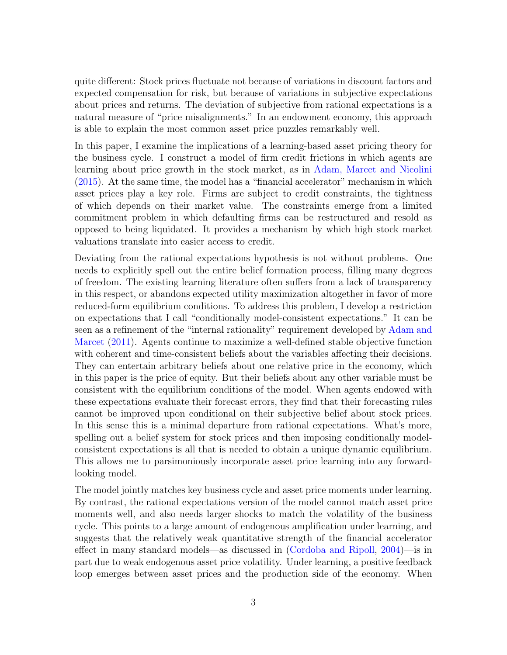quite different: Stock prices fluctuate not because of variations in discount factors and expected compensation for risk, but because of variations in subjective expectations about prices and returns. The deviation of subjective from rational expectations is a natural measure of "price misalignments." In an endowment economy, this approach is able to explain the most common asset price puzzles remarkably well.

In this paper, I examine the implications of a learning-based asset pricing theory for the business cycle. I construct a model of firm credit frictions in which agents are learning about price growth in the stock market, as in [Adam, Marcet and Nicolini](#page-36-0) [\(2015\)](#page-36-0). At the same time, the model has a "financial accelerator" mechanism in which asset prices play a key role. Firms are subject to credit constraints, the tightness of which depends on their market value. The constraints emerge from a limited commitment problem in which defaulting firms can be restructured and resold as opposed to being liquidated. It provides a mechanism by which high stock market valuations translate into easier access to credit.

Deviating from the rational expectations hypothesis is not without problems. One needs to explicitly spell out the entire belief formation process, filling many degrees of freedom. The existing learning literature often suffers from a lack of transparency in this respect, or abandons expected utility maximization altogether in favor of more reduced-form equilibrium conditions. To address this problem, I develop a restriction on expectations that I call "conditionally model-consistent expectations." It can be seen as a refinement of the "internal rationality" requirement developed by [Adam and](#page-36-1) [Marcet](#page-36-1) [\(2011\)](#page-36-1). Agents continue to maximize a well-defined stable objective function with coherent and time-consistent beliefs about the variables affecting their decisions. They can entertain arbitrary beliefs about one relative price in the economy, which in this paper is the price of equity. But their beliefs about any other variable must be consistent with the equilibrium conditions of the model. When agents endowed with these expectations evaluate their forecast errors, they find that their forecasting rules cannot be improved upon conditional on their subjective belief about stock prices. In this sense this is a minimal departure from rational expectations. What's more, spelling out a belief system for stock prices and then imposing conditionally modelconsistent expectations is all that is needed to obtain a unique dynamic equilibrium. This allows me to parsimoniously incorporate asset price learning into any forwardlooking model.

The model jointly matches key business cycle and asset price moments under learning. By contrast, the rational expectations version of the model cannot match asset price moments well, and also needs larger shocks to match the volatility of the business cycle. This points to a large amount of endogenous amplification under learning, and suggests that the relatively weak quantitative strength of the financial accelerator effect in many standard models—as discussed in [\(Cordoba and Ripoll,](#page-36-2) [2004\)](#page-36-2)—is in part due to weak endogenous asset price volatility. Under learning, a positive feedback loop emerges between asset prices and the production side of the economy. When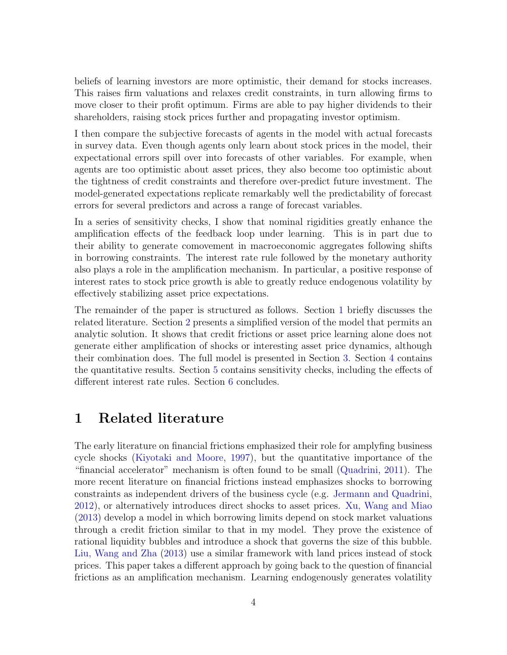beliefs of learning investors are more optimistic, their demand for stocks increases. This raises firm valuations and relaxes credit constraints, in turn allowing firms to move closer to their profit optimum. Firms are able to pay higher dividends to their shareholders, raising stock prices further and propagating investor optimism.

I then compare the subjective forecasts of agents in the model with actual forecasts in survey data. Even though agents only learn about stock prices in the model, their expectational errors spill over into forecasts of other variables. For example, when agents are too optimistic about asset prices, they also become too optimistic about the tightness of credit constraints and therefore over-predict future investment. The model-generated expectations replicate remarkably well the predictability of forecast errors for several predictors and across a range of forecast variables.

In a series of sensitivity checks, I show that nominal rigidities greatly enhance the amplification effects of the feedback loop under learning. This is in part due to their ability to generate comovement in macroeconomic aggregates following shifts in borrowing constraints. The interest rate rule followed by the monetary authority also plays a role in the amplification mechanism. In particular, a positive response of interest rates to stock price growth is able to greatly reduce endogenous volatility by effectively stabilizing asset price expectations.

The remainder of the paper is structured as follows. Section [1](#page-3-0) briefly discusses the related literature. Section [2](#page-5-0) presents a simplified version of the model that permits an analytic solution. It shows that credit frictions or asset price learning alone does not generate either amplification of shocks or interesting asset price dynamics, although their combination does. The full model is presented in Section [3.](#page-11-0) Section [4](#page-18-0) contains the quantitative results. Section [5](#page-30-0) contains sensitivity checks, including the effects of different interest rate rules. Section [6](#page-35-0) concludes.

## <span id="page-3-0"></span>1 Related literature

The early literature on financial frictions emphasized their role for amplyfing business cycle shocks [\(Kiyotaki and Moore,](#page-37-1) [1997\)](#page-37-1), but the quantitative importance of the "financial accelerator" mechanism is often found to be small [\(Quadrini,](#page-38-0) [2011\)](#page-38-0). The more recent literature on financial frictions instead emphasizes shocks to borrowing constraints as independent drivers of the business cycle (e.g. [Jermann and Quadrini,](#page-37-2) [2012\)](#page-37-2), or alternatively introduces direct shocks to asset prices. [Xu, Wang and Miao](#page-38-1) [\(2013\)](#page-38-1) develop a model in which borrowing limits depend on stock market valuations through a credit friction similar to that in my model. They prove the existence of rational liquidity bubbles and introduce a shock that governs the size of this bubble. [Liu, Wang and Zha](#page-37-3) [\(2013\)](#page-37-3) use a similar framework with land prices instead of stock prices. This paper takes a different approach by going back to the question of financial frictions as an amplification mechanism. Learning endogenously generates volatility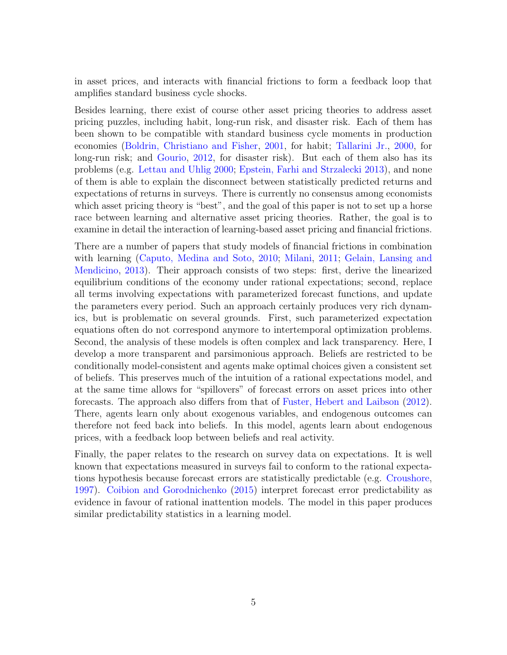in asset prices, and interacts with financial frictions to form a feedback loop that amplifies standard business cycle shocks.

Besides learning, there exist of course other asset pricing theories to address asset pricing puzzles, including habit, long-run risk, and disaster risk. Each of them has been shown to be compatible with standard business cycle moments in production economies [\(Boldrin, Christiano and Fisher,](#page-36-3) [2001,](#page-36-3) for habit; [Tallarini Jr.,](#page-38-2) [2000,](#page-38-2) for long-run risk; and [Gourio,](#page-37-4) [2012,](#page-37-4) for disaster risk). But each of them also has its problems (e.g. [Lettau and Uhlig](#page-37-5) [2000;](#page-37-5) [Epstein, Farhi and Strzalecki](#page-37-6) [2013\)](#page-37-6), and none of them is able to explain the disconnect between statistically predicted returns and expectations of returns in surveys. There is currently no consensus among economists which asset pricing theory is "best", and the goal of this paper is not to set up a horse race between learning and alternative asset pricing theories. Rather, the goal is to examine in detail the interaction of learning-based asset pricing and financial frictions.

There are a number of papers that study models of financial frictions in combination with learning [\(Caputo, Medina and Soto,](#page-36-4) [2010;](#page-36-4) [Milani,](#page-38-3) [2011;](#page-38-3) [Gelain, Lansing and](#page-37-7) [Mendicino,](#page-37-7) [2013\)](#page-37-7). Their approach consists of two steps: first, derive the linearized equilibrium conditions of the economy under rational expectations; second, replace all terms involving expectations with parameterized forecast functions, and update the parameters every period. Such an approach certainly produces very rich dynamics, but is problematic on several grounds. First, such parameterized expectation equations often do not correspond anymore to intertemporal optimization problems. Second, the analysis of these models is often complex and lack transparency. Here, I develop a more transparent and parsimonious approach. Beliefs are restricted to be conditionally model-consistent and agents make optimal choices given a consistent set of beliefs. This preserves much of the intuition of a rational expectations model, and at the same time allows for "spillovers" of forecast errors on asset prices into other forecasts. The approach also differs from that of [Fuster, Hebert and Laibson](#page-37-8) [\(2012\)](#page-37-8). There, agents learn only about exogenous variables, and endogenous outcomes can therefore not feed back into beliefs. In this model, agents learn about endogenous prices, with a feedback loop between beliefs and real activity.

Finally, the paper relates to the research on survey data on expectations. It is well known that expectations measured in surveys fail to conform to the rational expectations hypothesis because forecast errors are statistically predictable (e.g. [Croushore,](#page-37-9) [1997\)](#page-37-9). [Coibion and Gorodnichenko](#page-36-5) [\(2015\)](#page-36-5) interpret forecast error predictability as evidence in favour of rational inattention models. The model in this paper produces similar predictability statistics in a learning model.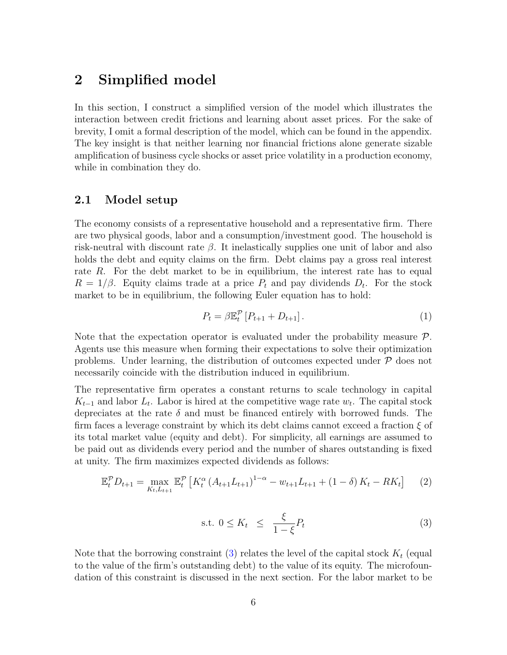## <span id="page-5-0"></span>2 Simplified model

In this section, I construct a simplified version of the model which illustrates the interaction between credit frictions and learning about asset prices. For the sake of brevity, I omit a formal description of the model, which can be found in the appendix. The key insight is that neither learning nor financial frictions alone generate sizable amplification of business cycle shocks or asset price volatility in a production economy, while in combination they do.

## 2.1 Model setup

The economy consists of a representative household and a representative firm. There are two physical goods, labor and a consumption/investment good. The household is risk-neutral with discount rate  $\beta$ . It inelastically supplies one unit of labor and also holds the debt and equity claims on the firm. Debt claims pay a gross real interest rate R. For the debt market to be in equilibrium, the interest rate has to equal  $R = 1/\beta$ . Equity claims trade at a price  $P_t$  and pay dividends  $D_t$ . For the stock market to be in equilibrium, the following Euler equation has to hold:

<span id="page-5-3"></span>
$$
P_t = \beta \mathbb{E}_t^{\mathcal{P}} \left[ P_{t+1} + D_{t+1} \right]. \tag{1}
$$

Note that the expectation operator is evaluated under the probability measure  $\mathcal{P}$ . Agents use this measure when forming their expectations to solve their optimization problems. Under learning, the distribution of outcomes expected under  $\mathcal P$  does not necessarily coincide with the distribution induced in equilibrium.

The representative firm operates a constant returns to scale technology in capital  $K_{t-1}$  and labor  $L_t$ . Labor is hired at the competitive wage rate  $w_t$ . The capital stock depreciates at the rate  $\delta$  and must be financed entirely with borrowed funds. The firm faces a leverage constraint by which its debt claims cannot exceed a fraction  $\xi$  of its total market value (equity and debt). For simplicity, all earnings are assumed to be paid out as dividends every period and the number of shares outstanding is fixed at unity. The firm maximizes expected dividends as follows:

<span id="page-5-2"></span>
$$
\mathbb{E}_{t}^{\mathcal{P}} D_{t+1} = \max_{K_{t}, L_{t+1}} \mathbb{E}_{t}^{\mathcal{P}} \left[ K_{t}^{\alpha} \left( A_{t+1} L_{t+1} \right)^{1-\alpha} - w_{t+1} L_{t+1} + (1-\delta) K_{t} - R K_{t} \right] \tag{2}
$$

<span id="page-5-1"></span>
$$
\text{s.t. } 0 \le K_t \le \frac{\xi}{1 - \xi} P_t \tag{3}
$$

Note that the borrowing constraint  $(3)$  relates the level of the capital stock  $K_t$  (equal to the value of the firm's outstanding debt) to the value of its equity. The microfoundation of this constraint is discussed in the next section. For the labor market to be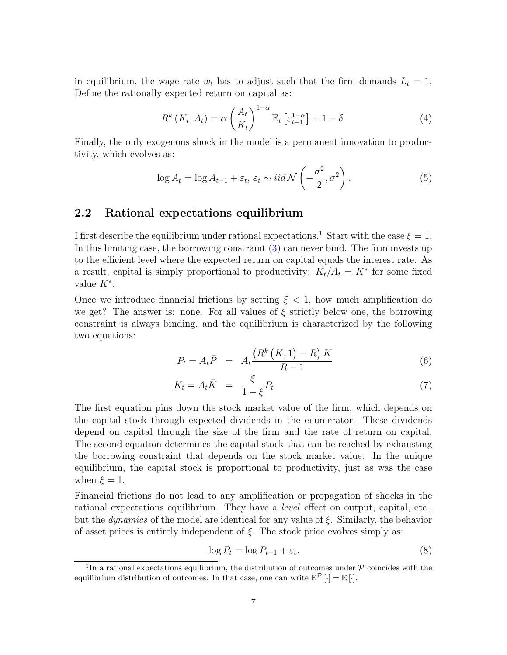in equilibrium, the wage rate  $w_t$  has to adjust such that the firm demands  $L_t = 1$ . Define the rationally expected return on capital as:

$$
R^{k}\left(K_{t}, A_{t}\right) = \alpha \left(\frac{A_{t}}{K_{t}}\right)^{1-\alpha} \mathbb{E}_{t}\left[\varepsilon_{t+1}^{1-\alpha}\right] + 1 - \delta. \tag{4}
$$

Finally, the only exogenous shock in the model is a permanent innovation to productivity, which evolves as:

$$
\log A_t = \log A_{t-1} + \varepsilon_t, \, \varepsilon_t \sim \text{iid } \mathcal{N}\left(-\frac{\sigma^2}{2}, \sigma^2\right). \tag{5}
$$

## 2.2 Rational expectations equilibrium

I first describe the equilibrium under rational expectations.<sup>[1](#page-6-0)</sup> Start with the case  $\xi = 1$ . In this limiting case, the borrowing constraint [\(3\)](#page-5-1) can never bind. The firm invests up to the efficient level where the expected return on capital equals the interest rate. As a result, capital is simply proportional to productivity:  $K_t/A_t = K^*$  for some fixed value  $K^*$ .

Once we introduce financial frictions by setting  $\xi < 1$ , how much amplification do we get? The answer is: none. For all values of  $\xi$  strictly below one, the borrowing constraint is always binding, and the equilibrium is characterized by the following two equations:

$$
P_t = A_t \bar{P} = A_t \frac{\left(R^k\left(\bar{K}, 1\right) - R\right)\bar{K}}{R - 1} \tag{6}
$$

<span id="page-6-2"></span>
$$
K_t = A_t \bar{K} = \frac{\xi}{1 - \xi} P_t \tag{7}
$$

The first equation pins down the stock market value of the firm, which depends on the capital stock through expected dividends in the enumerator. These dividends depend on capital through the size of the firm and the rate of return on capital. The second equation determines the capital stock that can be reached by exhausting the borrowing constraint that depends on the stock market value. In the unique equilibrium, the capital stock is proportional to productivity, just as was the case when  $\xi = 1$ .

Financial frictions do not lead to any amplification or propagation of shocks in the rational expectations equilibrium. They have a level effect on output, capital, etc., but the *dynamics* of the model are identical for any value of  $\xi$ . Similarly, the behavior of asset prices is entirely independent of  $\xi$ . The stock price evolves simply as:

<span id="page-6-1"></span>
$$
\log P_t = \log P_{t-1} + \varepsilon_t. \tag{8}
$$

<span id="page-6-0"></span><sup>&</sup>lt;sup>1</sup>In a rational expectations equilibrium, the distribution of outcomes under  $\mathcal P$  coincides with the equilibrium distribution of outcomes. In that case, one can write  $\mathbb{E}^{\mathcal{P}}[\cdot] = \mathbb{E}[\cdot].$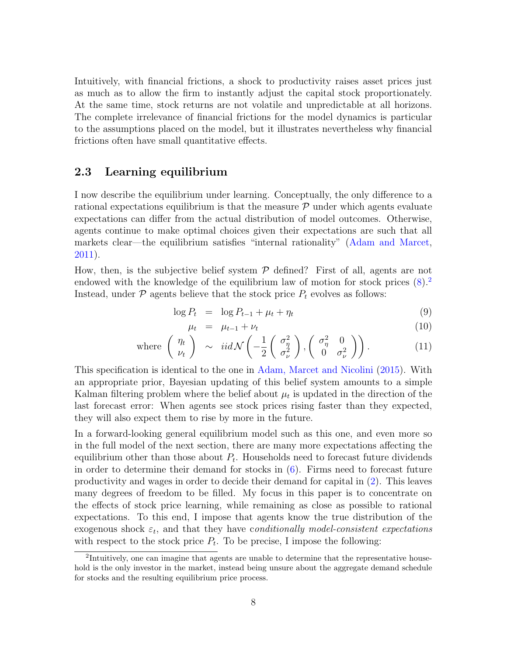Intuitively, with financial frictions, a shock to productivity raises asset prices just as much as to allow the firm to instantly adjust the capital stock proportionately. At the same time, stock returns are not volatile and unpredictable at all horizons. The complete irrelevance of financial frictions for the model dynamics is particular to the assumptions placed on the model, but it illustrates nevertheless why financial frictions often have small quantitative effects.

### <span id="page-7-2"></span>2.3 Learning equilibrium

I now describe the equilibrium under learning. Conceptually, the only difference to a rational expectations equilibrium is that the measure  $P$  under which agents evaluate expectations can differ from the actual distribution of model outcomes. Otherwise, agents continue to make optimal choices given their expectations are such that all markets clear—the equilibrium satisfies "internal rationality" [\(Adam and Marcet,](#page-36-1) [2011\)](#page-36-1).

How, then, is the subjective belief system  $P$  defined? First of all, agents are not endowed with the knowledge of the equilibrium law of motion for stock prices  $(8)^2$  $(8)^2$ Instead, under  $P$  agents believe that the stock price  $P_t$  evolves as follows:

<span id="page-7-1"></span>
$$
\log P_t = \log P_{t-1} + \mu_t + \eta_t \tag{9}
$$

$$
\mu_t = \mu_{t-1} + \nu_t \tag{10}
$$

where 
$$
\begin{pmatrix} \eta_t \\ \nu_t \end{pmatrix} \sim \text{iid } \mathcal{N} \left( -\frac{1}{2} \begin{pmatrix} \sigma_{\eta}^2 \\ \sigma_{\nu}^2 \end{pmatrix}, \begin{pmatrix} \sigma_{\eta}^2 & 0 \\ 0 & \sigma_{\nu}^2 \end{pmatrix} \right).
$$
 (11)

This specification is identical to the one in [Adam, Marcet and Nicolini](#page-36-0) [\(2015\)](#page-36-0). With an appropriate prior, Bayesian updating of this belief system amounts to a simple Kalman filtering problem where the belief about  $\mu_t$  is updated in the direction of the last forecast error: When agents see stock prices rising faster than they expected, they will also expect them to rise by more in the future.

In a forward-looking general equilibrium model such as this one, and even more so in the full model of the next section, there are many more expectations affecting the equilibrium other than those about  $P_t$ . Households need to forecast future dividends in order to determine their demand for stocks in [\(6\)](#page-6-2). Firms need to forecast future productivity and wages in order to decide their demand for capital in [\(2\)](#page-5-2). This leaves many degrees of freedom to be filled. My focus in this paper is to concentrate on the effects of stock price learning, while remaining as close as possible to rational expectations. To this end, I impose that agents know the true distribution of the exogenous shock  $\varepsilon_t$ , and that they have conditionally model-consistent expectations with respect to the stock price  $P_t$ . To be precise, I impose the following:

<span id="page-7-0"></span><sup>&</sup>lt;sup>2</sup>Intuitively, one can imagine that agents are unable to determine that the representative household is the only investor in the market, instead being unsure about the aggregate demand schedule for stocks and the resulting equilibrium price process.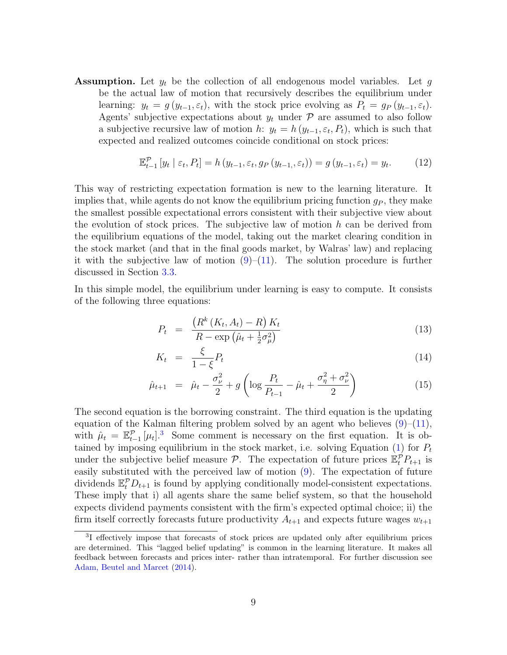**Assumption.** Let  $y_t$  be the collection of all endogenous model variables. Let g be the actual law of motion that recursively describes the equilibrium under learning:  $y_t = g(y_{t-1}, \varepsilon_t)$ , with the stock price evolving as  $P_t = g_P(y_{t-1}, \varepsilon_t)$ . Agents' subjective expectations about  $y_t$  under  $\mathcal P$  are assumed to also follow a subjective recursive law of motion  $h: y_t = h(y_{t-1}, \varepsilon_t, P_t)$ , which is such that expected and realized outcomes coincide conditional on stock prices:

$$
\mathbb{E}_{t-1}^{\mathcal{P}}\left[y_t \mid \varepsilon_t, P_t\right] = h\left(y_{t-1}, \varepsilon_t, g_P\left(y_{t-1}, \varepsilon_t\right)\right) = g\left(y_{t-1}, \varepsilon_t\right) = y_t. \tag{12}
$$

This way of restricting expectation formation is new to the learning literature. It implies that, while agents do not know the equilibrium pricing function  $q_P$ , they make the smallest possible expectational errors consistent with their subjective view about the evolution of stock prices. The subjective law of motion  $h$  can be derived from the equilibrium equations of the model, taking out the market clearing condition in the stock market (and that in the final goods market, by Walras' law) and replacing it with the subjective law of motion  $(9)$ – $(11)$ . The solution procedure is further discussed in Section [3.3.](#page-17-0)

In this simple model, the equilibrium under learning is easy to compute. It consists of the following three equations:

$$
P_t = \frac{\left(R^k\left(K_t, A_t\right) - R\right)K_t}{R - \exp\left(\hat{\mu}_t + \frac{1}{2}\sigma_\mu^2\right)}\tag{13}
$$

<span id="page-8-1"></span>
$$
K_t = \frac{\xi}{1 - \xi} P_t \tag{14}
$$

$$
\hat{\mu}_{t+1} = \hat{\mu}_t - \frac{\sigma_\nu^2}{2} + g \left( \log \frac{P_t}{P_{t-1}} - \hat{\mu}_t + \frac{\sigma_\eta^2 + \sigma_\nu^2}{2} \right) \tag{15}
$$

The second equation is the borrowing constraint. The third equation is the updating equation of the Kalman filtering problem solved by an agent who believes  $(9)$ – $(11)$ , with  $\hat{\mu}_t = \mathbb{E}_{t-1}^{\mathcal{P}} [\mu_t]$ . Some comment is necessary on the first equation. It is obtained by imposing equilibrium in the stock market, i.e. solving Equation  $(1)$  for  $P_t$ under the subjective belief measure  $P$ . The expectation of future prices  $\mathbb{E}_t^{\hat{P}} P_{t+1}$  is easily substituted with the perceived law of motion [\(9\)](#page-7-1). The expectation of future dividends  $\mathbb{E}_t^{\mathcal{P}} D_{t+1}$  is found by applying conditionally model-consistent expectations. These imply that i) all agents share the same belief system, so that the household expects dividend payments consistent with the firm's expected optimal choice; ii) the firm itself correctly forecasts future productivity  $A_{t+1}$  and expects future wages  $w_{t+1}$ 

<span id="page-8-0"></span><sup>&</sup>lt;sup>3</sup>I effectively impose that forecasts of stock prices are updated only after equilibrium prices are determined. This "lagged belief updating" is common in the learning literature. It makes all feedback between forecasts and prices inter- rather than intratemporal. For further discussion see [Adam, Beutel and Marcet](#page-36-6) [\(2014\)](#page-36-6).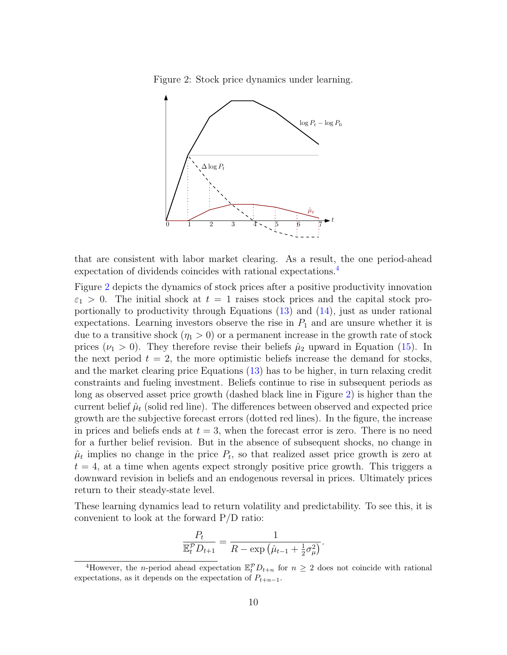<span id="page-9-1"></span>Figure 2: Stock price dynamics under learning.



that are consistent with labor market clearing. As a result, the one period-ahead expectation of dividends coincides with rational expectations.[4](#page-9-0)

Figure [2](#page-9-1) depicts the dynamics of stock prices after a positive productivity innovation  $\varepsilon_1 > 0$ . The initial shock at  $t = 1$  raises stock prices and the capital stock proportionally to productivity through Equations [\(13\)](#page-8-1) and [\(14\)](#page-8-1), just as under rational expectations. Learning investors observe the rise in  $P_1$  and are unsure whether it is due to a transitive shock  $(\eta_1 > 0)$  or a permanent increase in the growth rate of stock prices ( $\nu_1 > 0$ ). They therefore revise their beliefs  $\hat{\mu}_2$  upward in Equation [\(15\)](#page-8-1). In the next period  $t = 2$ , the more optimistic beliefs increase the demand for stocks, and the market clearing price Equations [\(13\)](#page-8-1) has to be higher, in turn relaxing credit constraints and fueling investment. Beliefs continue to rise in subsequent periods as long as observed asset price growth (dashed black line in Figure [2\)](#page-9-1) is higher than the current belief  $\hat{\mu}_t$  (solid red line). The differences between observed and expected price growth are the subjective forecast errors (dotted red lines). In the figure, the increase in prices and beliefs ends at  $t = 3$ , when the forecast error is zero. There is no need for a further belief revision. But in the absence of subsequent shocks, no change in  $\hat{\mu}_t$  implies no change in the price  $P_t$ , so that realized asset price growth is zero at  $t = 4$ , at a time when agents expect strongly positive price growth. This triggers a downward revision in beliefs and an endogenous reversal in prices. Ultimately prices return to their steady-state level.

These learning dynamics lead to return volatility and predictability. To see this, it is convenient to look at the forward P/D ratio:

$$
\frac{P_t}{\mathbb{E}_t^{\mathcal{P}} D_{t+1}} = \frac{1}{R - \exp\left(\hat{\mu}_{t-1} + \frac{1}{2}\sigma_{\mu}^2\right)}.
$$

<span id="page-9-0"></span><sup>&</sup>lt;sup>4</sup>However, the *n*-period ahead expectation  $\mathbb{E}_t^{\mathcal{P}} D_{t+n}$  for  $n \geq 2$  does not coincide with rational expectations, as it depends on the expectation of  $P_{t+n-1}$ .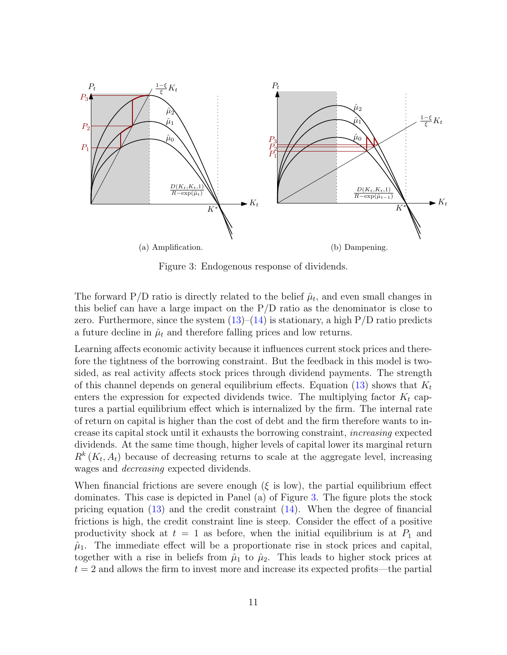<span id="page-10-0"></span>

Figure 3: Endogenous response of dividends.

The forward  $P/D$  ratio is directly related to the belief  $\hat{\mu}_t$ , and even small changes in this belief can have a large impact on the  $P/D$  ratio as the denominator is close to zero. Furthermore, since the system  $(13)-(14)$  $(13)-(14)$  is stationary, a high  $P/D$  ratio predicts a future decline in  $\hat{\mu}_t$  and therefore falling prices and low returns.

Learning affects economic activity because it influences current stock prices and therefore the tightness of the borrowing constraint. But the feedback in this model is twosided, as real activity affects stock prices through dividend payments. The strength of this channel depends on general equilibrium effects. Equation  $(13)$  shows that  $K_t$ enters the expression for expected dividends twice. The multiplying factor  $K_t$  captures a partial equilibrium effect which is internalized by the firm. The internal rate of return on capital is higher than the cost of debt and the firm therefore wants to increase its capital stock until it exhausts the borrowing constraint, increasing expected dividends. At the same time though, higher levels of capital lower its marginal return  $R^k(K_t, A_t)$  because of decreasing returns to scale at the aggregate level, increasing wages and decreasing expected dividends.

When financial frictions are severe enough  $(\xi \text{ is low})$ , the partial equilibrium effect dominates. This case is depicted in Panel (a) of Figure [3.](#page-10-0) The figure plots the stock pricing equation [\(13\)](#page-8-1) and the credit constraint [\(14\)](#page-8-1). When the degree of financial frictions is high, the credit constraint line is steep. Consider the effect of a positive productivity shock at  $t = 1$  as before, when the initial equilibrium is at  $P_1$  and  $\hat{\mu}_1$ . The immediate effect will be a proportionate rise in stock prices and capital, together with a rise in beliefs from  $\hat{\mu}_1$  to  $\hat{\mu}_2$ . This leads to higher stock prices at  $t = 2$  and allows the firm to invest more and increase its expected profits—the partial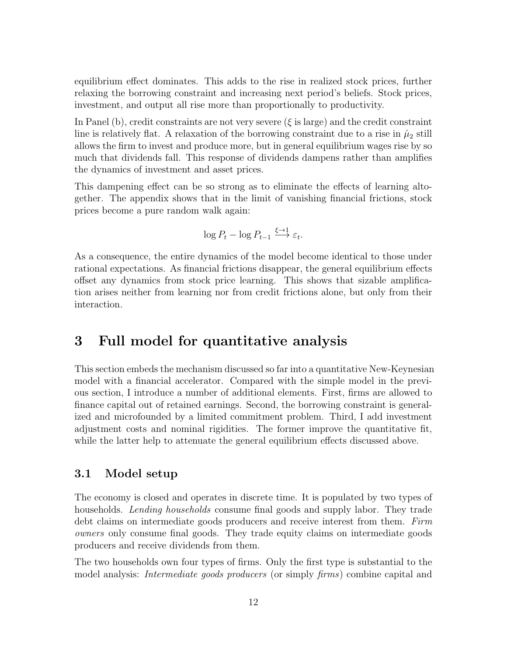equilibrium effect dominates. This adds to the rise in realized stock prices, further relaxing the borrowing constraint and increasing next period's beliefs. Stock prices, investment, and output all rise more than proportionally to productivity.

In Panel (b), credit constraints are not very severe ( $\xi$  is large) and the credit constraint line is relatively flat. A relaxation of the borrowing constraint due to a rise in  $\hat{\mu}_2$  still allows the firm to invest and produce more, but in general equilibrium wages rise by so much that dividends fall. This response of dividends dampens rather than amplifies the dynamics of investment and asset prices.

This dampening effect can be so strong as to eliminate the effects of learning altogether. The appendix shows that in the limit of vanishing financial frictions, stock prices become a pure random walk again:

$$
\log P_t - \log P_{t-1} \xrightarrow{\xi \to 1} \varepsilon_t.
$$

As a consequence, the entire dynamics of the model become identical to those under rational expectations. As financial frictions disappear, the general equilibrium effects offset any dynamics from stock price learning. This shows that sizable amplification arises neither from learning nor from credit frictions alone, but only from their interaction.

## <span id="page-11-0"></span>3 Full model for quantitative analysis

This section embeds the mechanism discussed so far into a quantitative New-Keynesian model with a financial accelerator. Compared with the simple model in the previous section, I introduce a number of additional elements. First, firms are allowed to finance capital out of retained earnings. Second, the borrowing constraint is generalized and microfounded by a limited commitment problem. Third, I add investment adjustment costs and nominal rigidities. The former improve the quantitative fit, while the latter help to attenuate the general equilibrium effects discussed above.

## 3.1 Model setup

The economy is closed and operates in discrete time. It is populated by two types of households. Lending households consume final goods and supply labor. They trade debt claims on intermediate goods producers and receive interest from them. Firm owners only consume final goods. They trade equity claims on intermediate goods producers and receive dividends from them.

The two households own four types of firms. Only the first type is substantial to the model analysis: *Intermediate goods producers* (or simply *firms*) combine capital and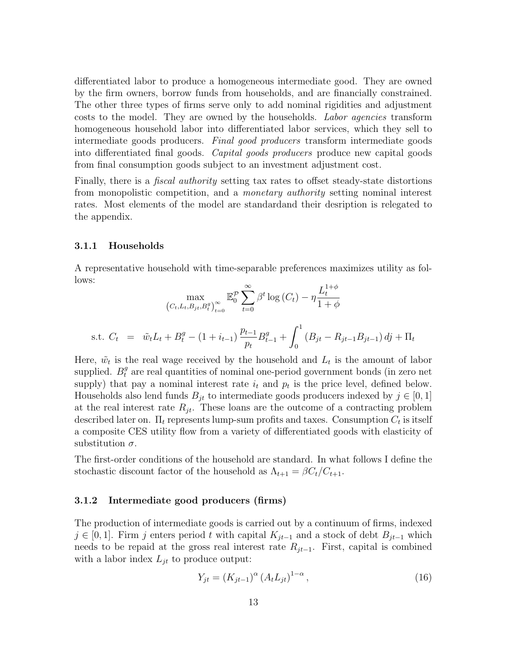differentiated labor to produce a homogeneous intermediate good. They are owned by the firm owners, borrow funds from households, and are financially constrained. The other three types of firms serve only to add nominal rigidities and adjustment costs to the model. They are owned by the households. Labor agencies transform homogeneous household labor into differentiated labor services, which they sell to intermediate goods producers. Final good producers transform intermediate goods into differentiated final goods. Capital goods producers produce new capital goods from final consumption goods subject to an investment adjustment cost.

Finally, there is a *fiscal authority* setting tax rates to offset steady-state distortions from monopolistic competition, and a monetary authority setting nominal interest rates. Most elements of the model are standardand their desription is relegated to the appendix.

#### 3.1.1 Households

A representative household with time-separable preferences maximizes utility as follows:

$$
\max_{(C_t, L_t, B_{jt}, B_t^g)_{t=0}^{\infty}} \mathbb{E}_0^{\mathcal{P}} \sum_{t=0}^{\infty} \beta^t \log(C_t) - \eta \frac{L_t^{1+\phi}}{1+\phi}
$$
  
s.t.  $C_t = \tilde{w}_t L_t + B_t^g - (1 + i_{t-1}) \frac{p_{t-1}}{p_t} B_{t-1}^g + \int_0^1 (B_{jt} - R_{jt-1} B_{jt-1}) df + \Pi_t$ 

Here,  $\tilde{w}_t$  is the real wage received by the household and  $L_t$  is the amount of labor supplied.  $B_t^g$  are real quantities of nominal one-period government bonds (in zero net supply) that pay a nominal interest rate  $i_t$  and  $p_t$  is the price level, defined below. Households also lend funds  $B_{it}$  to intermediate goods producers indexed by  $j \in [0,1]$ at the real interest rate  $R_{jt}$ . These loans are the outcome of a contracting problem described later on.  $\Pi_t$  represents lump-sum profits and taxes. Consumption  $C_t$  is itself a composite CES utility flow from a variety of differentiated goods with elasticity of substitution  $\sigma$ .

The first-order conditions of the household are standard. In what follows I define the stochastic discount factor of the household as  $\Lambda_{t+1} = \beta C_t / C_{t+1}$ .

#### 3.1.2 Intermediate good producers (firms)

The production of intermediate goods is carried out by a continuum of firms, indexed  $j \in [0, 1]$ . Firm j enters period t with capital  $K_{jt-1}$  and a stock of debt  $B_{jt-1}$  which needs to be repaid at the gross real interest rate  $R_{jt-1}$ . First, capital is combined with a labor index  $L_{it}$  to produce output:

$$
Y_{jt} = (K_{jt-1})^{\alpha} (A_t L_{jt})^{1-\alpha}, \qquad (16)
$$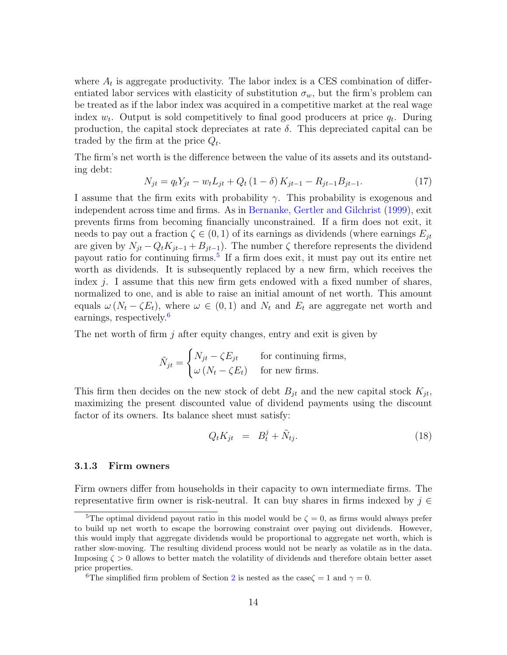where  $A_t$  is aggregate productivity. The labor index is a CES combination of differentiated labor services with elasticity of substitution  $\sigma_w$ , but the firm's problem can be treated as if the labor index was acquired in a competitive market at the real wage index  $w_t$ . Output is sold competitively to final good producers at price  $q_t$ . During production, the capital stock depreciates at rate  $\delta$ . This depreciated capital can be traded by the firm at the price  $Q_t$ .

The firm's net worth is the difference between the value of its assets and its outstanding debt:

$$
N_{jt} = q_t Y_{jt} - w_t L_{jt} + Q_t (1 - \delta) K_{jt-1} - R_{jt-1} B_{jt-1}.
$$
\n(17)

I assume that the firm exits with probability  $\gamma$ . This probability is exogenous and independent across time and firms. As in [Bernanke, Gertler and Gilchrist](#page-36-7) [\(1999\)](#page-36-7), exit prevents firms from becoming financially unconstrained. If a firm does not exit, it needs to pay out a fraction  $\zeta \in (0,1)$  of its earnings as dividends (where earnings  $E_{it}$ are given by  $N_{jt} - Q_t K_{jt-1} + B_{jt-1}$ . The number  $\zeta$  therefore represents the dividend payout ratio for continuing firms.<sup>[5](#page-13-0)</sup> If a firm does exit, it must pay out its entire net worth as dividends. It is subsequently replaced by a new firm, which receives the index j. I assume that this new firm gets endowed with a fixed number of shares, normalized to one, and is able to raise an initial amount of net worth. This amount equals  $\omega (N_t - \zeta E_t)$ , where  $\omega \in (0,1)$  and  $N_t$  and  $E_t$  are aggregate net worth and earnings, respectively.<sup>[6](#page-13-1)</sup>

The net worth of firm j after equity changes, entry and exit is given by

$$
\tilde{N}_{jt} = \begin{cases} N_{jt} - \zeta E_{jt} & \text{for continuing firms,} \\ \omega (N_t - \zeta E_t) & \text{for new firms.} \end{cases}
$$

This firm then decides on the new stock of debt  $B_{it}$  and the new capital stock  $K_{it}$ , maximizing the present discounted value of dividend payments using the discount factor of its owners. Its balance sheet must satisfy:

$$
Q_t K_{jt} = B_t^j + \tilde{N}_{tj}.
$$
\n(18)

#### 3.1.3 Firm owners

Firm owners differ from households in their capacity to own intermediate firms. The representative firm owner is risk-neutral. It can buy shares in firms indexed by  $j \in \mathbb{Z}$ 

<span id="page-13-0"></span><sup>&</sup>lt;sup>5</sup>The optimal dividend payout ratio in this model would be  $\zeta = 0$ , as firms would always prefer to build up net worth to escape the borrowing constraint over paying out dividends. However, this would imply that aggregate dividends would be proportional to aggregate net worth, which is rather slow-moving. The resulting dividend process would not be nearly as volatile as in the data. Imposing  $\zeta > 0$  allows to better match the volatility of dividends and therefore obtain better asset price properties.

<span id="page-13-1"></span><sup>&</sup>lt;sup>6</sup>The simplified firm problem of Section [2](#page-5-0) is nested as the case $\zeta = 1$  and  $\gamma = 0$ .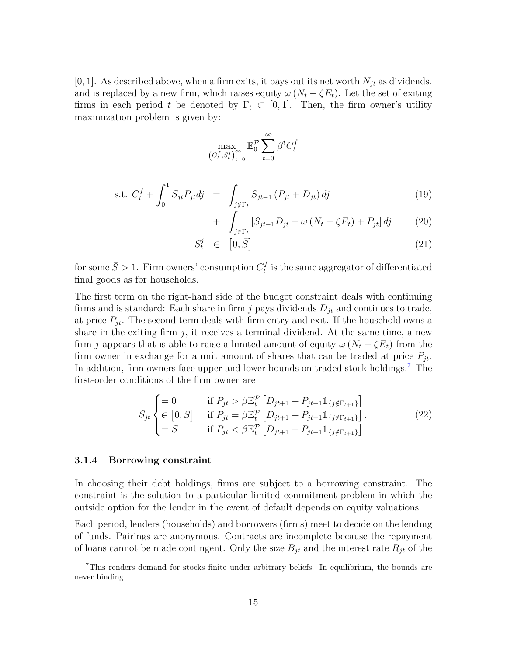[0, 1]. As described above, when a firm exits, it pays out its net worth  $N_{jt}$  as dividends, and is replaced by a new firm, which raises equity  $\omega (N_t - \zeta E_t)$ . Let the set of exiting firms in each period t be denoted by  $\Gamma_t \subset [0,1]$ . Then, the firm owner's utility maximization problem is given by:

$$
\max_{\left(C_t^f, S_t^j\right)_{t=0}^{\infty}}\mathbb{E}^{\mathcal{P}}_0 \sum_{t=0}^{\infty} \beta^t C_t^f
$$

s.t. 
$$
C_t^f + \int_0^1 S_{jt} P_{jt} dj = \int_{j \notin \Gamma_t} S_{jt-1} (P_{jt} + D_{jt}) dj
$$
 (19)

$$
+ \int_{j\in\Gamma_t} \left[ S_{jt-1} D_{jt} - \omega \left( N_t - \zeta E_t \right) + P_{jt} \right] dj \tag{20}
$$

$$
S_t^j \in [0, \bar{S}] \tag{21}
$$

for some  $\bar{S} > 1$ . Firm owners' consumption  $C_t^f$  $t$ <sup>t</sup> is the same aggregator of differentiated final goods as for households.

The first term on the right-hand side of the budget constraint deals with continuing firms and is standard: Each share in firm j pays dividends  $D_{jt}$  and continues to trade, at price  $P_{it}$ . The second term deals with firm entry and exit. If the household owns a share in the exiting firm  $j$ , it receives a terminal dividend. At the same time, a new firm j appears that is able to raise a limited amount of equity  $\omega (N_t - \zeta E_t)$  from the firm owner in exchange for a unit amount of shares that can be traded at price  $P_{it}$ . In addition, firm owners face upper and lower bounds on traded stock holdings.<sup>[7](#page-14-0)</sup> The first-order conditions of the firm owner are

$$
S_{jt} \begin{cases} = 0 & \text{if } P_{jt} > \beta \mathbb{E}_t^{\mathcal{P}} \left[ D_{jt+1} + P_{jt+1} \mathbb{1}_{\{j \notin \Gamma_{t+1}\}} \right] \\ \in [0, \bar{S}] & \text{if } P_{jt} = \beta \mathbb{E}_t^{\mathcal{P}} \left[ D_{jt+1} + P_{jt+1} \mathbb{1}_{\{j \notin \Gamma_{t+1}\}} \right] \\ = \bar{S} & \text{if } P_{jt} < \beta \mathbb{E}_t^{\mathcal{P}} \left[ D_{jt+1} + P_{jt+1} \mathbb{1}_{\{j \notin \Gamma_{t+1}\}} \right] \end{cases} \tag{22}
$$

#### 3.1.4 Borrowing constraint

In choosing their debt holdings, firms are subject to a borrowing constraint. The constraint is the solution to a particular limited commitment problem in which the outside option for the lender in the event of default depends on equity valuations.

Each period, lenders (households) and borrowers (firms) meet to decide on the lending of funds. Pairings are anonymous. Contracts are incomplete because the repayment of loans cannot be made contingent. Only the size  $B_{it}$  and the interest rate  $R_{jt}$  of the

<span id="page-14-0"></span><sup>7</sup>This renders demand for stocks finite under arbitrary beliefs. In equilibrium, the bounds are never binding.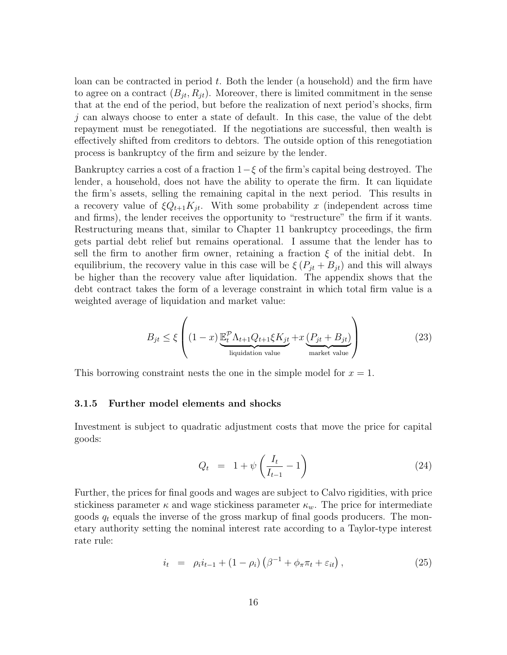loan can be contracted in period  $t$ . Both the lender (a household) and the firm have to agree on a contract  $(B_{jt}, R_{jt})$ . Moreover, there is limited commitment in the sense that at the end of the period, but before the realization of next period's shocks, firm j can always choose to enter a state of default. In this case, the value of the debt repayment must be renegotiated. If the negotiations are successful, then wealth is effectively shifted from creditors to debtors. The outside option of this renegotiation process is bankruptcy of the firm and seizure by the lender.

Bankruptcy carries a cost of a fraction  $1-\xi$  of the firm's capital being destroyed. The lender, a household, does not have the ability to operate the firm. It can liquidate the firm's assets, selling the remaining capital in the next period. This results in a recovery value of  $\xi Q_{t+1}K_{it}$ . With some probability x (independent across time and firms), the lender receives the opportunity to "restructure" the firm if it wants. Restructuring means that, similar to Chapter 11 bankruptcy proceedings, the firm gets partial debt relief but remains operational. I assume that the lender has to sell the firm to another firm owner, retaining a fraction  $\xi$  of the initial debt. In equilibrium, the recovery value in this case will be  $\xi (P_{jt} + B_{jt})$  and this will always be higher than the recovery value after liquidation. The appendix shows that the debt contract takes the form of a leverage constraint in which total firm value is a weighted average of liquidation and market value:

<span id="page-15-0"></span>
$$
B_{jt} \le \xi \left( (1-x) \underbrace{\mathbb{E}_t^{\mathcal{P}} \Lambda_{t+1} Q_{t+1} \xi K_{jt}}_{\text{liquidation value}} + x \underbrace{(P_{jt} + B_{jt})}_{\text{market value}} \right)
$$
(23)

This borrowing constraint nests the one in the simple model for  $x = 1$ .

#### 3.1.5 Further model elements and shocks

Investment is subject to quadratic adjustment costs that move the price for capital goods:

$$
Q_t = 1 + \psi \left( \frac{I_t}{I_{t-1}} - 1 \right) \tag{24}
$$

Further, the prices for final goods and wages are subject to Calvo rigidities, with price stickiness parameter  $\kappa$  and wage stickiness parameter  $\kappa_w$ . The price for intermediate goods  $q_t$  equals the inverse of the gross markup of final goods producers. The monetary authority setting the nominal interest rate according to a Taylor-type interest rate rule:

<span id="page-15-1"></span>
$$
i_{t} = \rho_{i} i_{t-1} + (1 - \rho_{i}) \left( \beta^{-1} + \phi_{\pi} \pi_{t} + \varepsilon_{it} \right), \qquad (25)
$$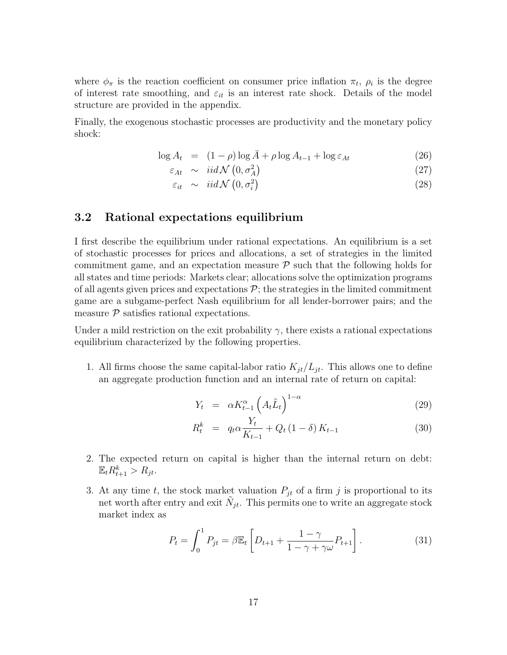where  $\phi_{\pi}$  is the reaction coefficient on consumer price inflation  $\pi_t$ ,  $\rho_i$  is the degree of interest rate smoothing, and  $\varepsilon_{it}$  is an interest rate shock. Details of the model structure are provided in the appendix.

Finally, the exogenous stochastic processes are productivity and the monetary policy shock:

$$
\log A_t = (1 - \rho) \log \bar{A} + \rho \log A_{t-1} + \log \varepsilon_{At} \tag{26}
$$

$$
\varepsilon_{At} \sim \operatorname{iid} \mathcal{N}\left(0, \sigma_A^2\right) \tag{27}
$$

 $\varepsilon_{it} \sim \text{iid } \mathcal{N}\left(0, \sigma_i^2\right)$ (28)

### 3.2 Rational expectations equilibrium

I first describe the equilibrium under rational expectations. An equilibrium is a set of stochastic processes for prices and allocations, a set of strategies in the limited commitment game, and an expectation measure  $\mathcal P$  such that the following holds for all states and time periods: Markets clear; allocations solve the optimization programs of all agents given prices and expectations  $\mathcal{P}$ ; the strategies in the limited commitment game are a subgame-perfect Nash equilibrium for all lender-borrower pairs; and the measure  $P$  satisfies rational expectations.

Under a mild restriction on the exit probability  $\gamma$ , there exists a rational expectations equilibrium characterized by the following properties.

1. All firms choose the same capital-labor ratio  $K_{it}/L_{it}$ . This allows one to define an aggregate production function and an internal rate of return on capital:

$$
Y_t = \alpha K_{t-1}^{\alpha} \left( A_t \tilde{L}_t \right)^{1-\alpha} \tag{29}
$$

$$
R_t^k = q_t \alpha \frac{Y_t}{K_{t-1}} + Q_t (1 - \delta) K_{t-1}
$$
 (30)

- 2. The expected return on capital is higher than the internal return on debt:  $\mathbb{E}_t R_{t+1}^k > R_{jt}.$
- 3. At any time t, the stock market valuation  $P_{jt}$  of a firm j is proportional to its net worth after entry and exit  $\tilde{N}_{jt}$ . This permits one to write an aggregate stock market index as

$$
P_t = \int_0^1 P_{jt} = \beta \mathbb{E}_t \left[ D_{t+1} + \frac{1 - \gamma}{1 - \gamma + \gamma \omega} P_{t+1} \right]. \tag{31}
$$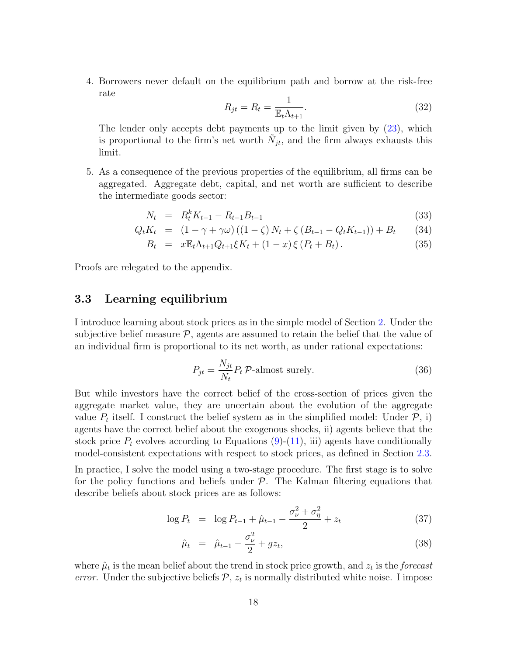4. Borrowers never default on the equilibrium path and borrow at the risk-free rate

$$
R_{jt} = R_t = \frac{1}{\mathbb{E}_t \Lambda_{t+1}}.\tag{32}
$$

The lender only accepts debt payments up to the limit given by [\(23\)](#page-15-0), which is proportional to the firm's net worth  $\tilde{N}_{jt}$ , and the firm always exhausts this limit.

5. As a consequence of the previous properties of the equilibrium, all firms can be aggregated. Aggregate debt, capital, and net worth are sufficient to describe the intermediate goods sector:

<span id="page-17-1"></span>
$$
N_t = R_t^k K_{t-1} - R_{t-1} B_{t-1}
$$
\n(33)

$$
Q_t K_t = (1 - \gamma + \gamma \omega) ((1 - \zeta) N_t + \zeta (B_{t-1} - Q_t K_{t-1})) + B_t \qquad (34)
$$

$$
B_t = x \mathbb{E}_t \Lambda_{t+1} Q_{t+1} \xi K_t + (1-x) \xi (P_t + B_t).
$$
 (35)

Proofs are relegated to the appendix.

### <span id="page-17-0"></span>3.3 Learning equilibrium

I introduce learning about stock prices as in the simple model of Section [2.](#page-5-0) Under the subjective belief measure  $P$ , agents are assumed to retain the belief that the value of an individual firm is proportional to its net worth, as under rational expectations:

$$
P_{jt} = \frac{N_{jt}}{N_t} P_t \mathcal{P}\text{-almost surely.}
$$
 (36)

But while investors have the correct belief of the cross-section of prices given the aggregate market value, they are uncertain about the evolution of the aggregate value  $P_t$  itself. I construct the belief system as in the simplified model: Under  $P$ , i) agents have the correct belief about the exogenous shocks, ii) agents believe that the stock price  $P_t$  evolves according to Equations [\(9\)](#page-7-1)-[\(11\)](#page-7-1), iii) agents have conditionally model-consistent expectations with respect to stock prices, as defined in Section [2.3.](#page-7-2)

In practice, I solve the model using a two-stage procedure. The first stage is to solve for the policy functions and beliefs under  $\mathcal{P}$ . The Kalman filtering equations that describe beliefs about stock prices are as follows:

$$
\log P_t = \log P_{t-1} + \hat{\mu}_{t-1} - \frac{\sigma_\nu^2 + \sigma_\eta^2}{2} + z_t \tag{37}
$$

$$
\hat{\mu}_t = \hat{\mu}_{t-1} - \frac{\sigma_\nu^2}{2} + gz_t, \tag{38}
$$

where  $\hat{\mu}_t$  is the mean belief about the trend in stock price growth, and  $z_t$  is the *forecast* error. Under the subjective beliefs  $P$ ,  $z_t$  is normally distributed white noise. I impose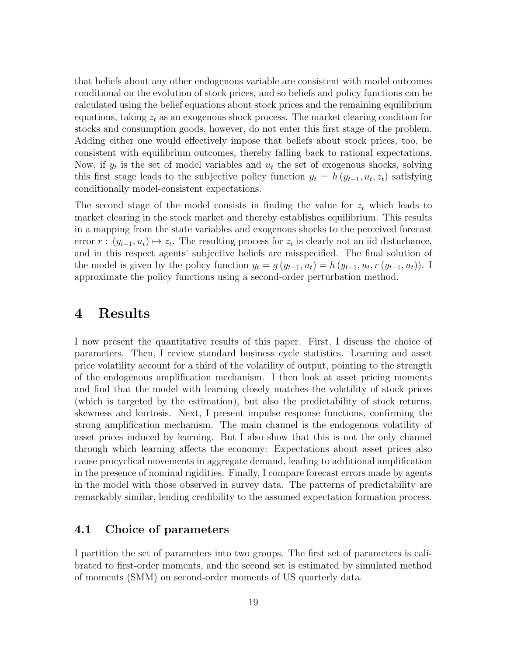that beliefs about any other endogenous variable are consistent with model outcomes conditional on the evolution of stock prices, and so beliefs and policy functions can be calculated using the belief equations about stock prices and the remaining equilibrium equations, taking  $z_t$  as an exogenous shock process. The market clearing condition for stocks and consumption goods, however, do not enter this first stage of the problem. Adding either one would effectively impose that beliefs about stock prices, too, be consistent with equilibrium outcomes, thereby falling back to rational expectations. Now, if  $y_t$  is the set of model variables and  $u_t$  the set of exogenous shocks, solving this first stage leads to the subjective policy function  $y_t = h(y_{t-1}, u_t, z_t)$  satisfying conditionally model-consistent expectations.

The second stage of the model consists in finding the value for  $z_t$  which leads to market clearing in the stock market and thereby establishes equilibrium. This results in a mapping from the state variables and exogenous shocks to the perceived forecast error  $r : (y_{t-1}, u_t) \mapsto z_t$ . The resulting process for  $z_t$  is clearly not an iid disturbance, and in this respect agents' subjective beliefs are misspecified. The final solution of the model is given by the policy function  $y_t = g(y_{t-1}, u_t) = h(y_{t-1}, u_t, r(y_{t-1}, u_t))$ . I approximate the policy functions using a second-order perturbation method.

## <span id="page-18-0"></span>4 Results

I now present the quantitative results of this paper. First, I discuss the choice of parameters. Then, I review standard business cycle statistics. Learning and asset price volatility account for a third of the volatility of output, pointing to the strength of the endogenous amplification mechanism. I then look at asset pricing moments and find that the model with learning closely matches the volatility of stock prices (which is targeted by the estimation), but also the predictability of stock returns, skewness and kurtosis. Next, I present impulse response functions, confirming the strong amplification mechanism. The main channel is the endogenous volatility of asset prices induced by learning. But I also show that this is not the only channel through which learning affects the economy: Expectations about asset prices also cause procyclical movements in aggregate demand, leading to additional amplification in the presence of nominal rigidities. Finally, I compare forecast errors made by agents in the model with those observed in survey data. The patterns of predictability are remarkably similar, lending credibility to the assumed expectation formation process.

## 4.1 Choice of parameters

I partition the set of parameters into two groups. The first set of parameters is calibrated to first-order moments, and the second set is estimated by simulated method of moments (SMM) on second-order moments of US quarterly data.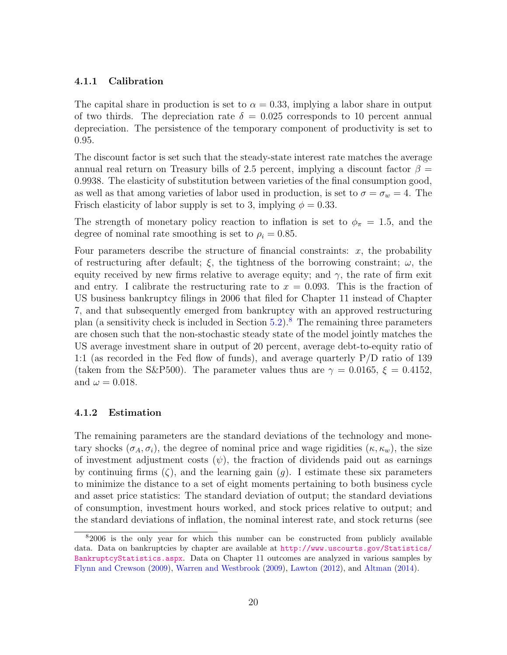#### 4.1.1 Calibration

The capital share in production is set to  $\alpha = 0.33$ , implying a labor share in output of two thirds. The depreciation rate  $\delta = 0.025$  corresponds to 10 percent annual depreciation. The persistence of the temporary component of productivity is set to 0.95.

The discount factor is set such that the steady-state interest rate matches the average annual real return on Treasury bills of 2.5 percent, implying a discount factor  $\beta =$ 0.9938. The elasticity of substitution between varieties of the final consumption good, as well as that among varieties of labor used in production, is set to  $\sigma = \sigma_w = 4$ . The Frisch elasticity of labor supply is set to 3, implying  $\phi = 0.33$ .

The strength of monetary policy reaction to inflation is set to  $\phi_{\pi} = 1.5$ , and the degree of nominal rate smoothing is set to  $\rho_i = 0.85$ .

Four parameters describe the structure of financial constraints:  $x$ , the probability of restructuring after default;  $\xi$ , the tightness of the borrowing constraint;  $\omega$ , the equity received by new firms relative to average equity; and  $\gamma$ , the rate of firm exit and entry. I calibrate the restructuring rate to  $x = 0.093$ . This is the fraction of US business bankruptcy filings in 2006 that filed for Chapter 11 instead of Chapter 7, and that subsequently emerged from bankruptcy with an approved restructuring plan (a sensitivity check is included in Section  $5.2$ ).<sup>[8](#page-19-0)</sup> The remaining three parameters are chosen such that the non-stochastic steady state of the model jointly matches the US average investment share in output of 20 percent, average debt-to-equity ratio of 1:1 (as recorded in the Fed flow of funds), and average quarterly P/D ratio of 139 (taken from the S&P500). The parameter values thus are  $\gamma = 0.0165$ ,  $\xi = 0.4152$ , and  $\omega = 0.018$ .

#### <span id="page-19-1"></span>4.1.2 Estimation

The remaining parameters are the standard deviations of the technology and monetary shocks  $(\sigma_A, \sigma_i)$ , the degree of nominal price and wage rigidities  $(\kappa, \kappa_w)$ , the size of investment adjustment costs  $(\psi)$ , the fraction of dividends paid out as earnings by continuing firms  $(\zeta)$ , and the learning gain  $(g)$ . I estimate these six parameters to minimize the distance to a set of eight moments pertaining to both business cycle and asset price statistics: The standard deviation of output; the standard deviations of consumption, investment hours worked, and stock prices relative to output; and the standard deviations of inflation, the nominal interest rate, and stock returns (see

<span id="page-19-0"></span><sup>8</sup>2006 is the only year for which this number can be constructed from publicly available data. Data on bankruptcies by chapter are available at [http://www.uscourts.gov/Statistics/](http://www.uscourts.gov/Statistics/BankruptcyStatistics.aspx) [BankruptcyStatistics.aspx](http://www.uscourts.gov/Statistics/BankruptcyStatistics.aspx). Data on Chapter 11 outcomes are analyzed in various samples by [Flynn and Crewson](#page-37-10) [\(2009\)](#page-37-10), [Warren and Westbrook](#page-38-4) [\(2009\)](#page-38-4), [Lawton](#page-37-11) [\(2012\)](#page-37-11), and [Altman](#page-36-8) [\(2014\)](#page-36-8).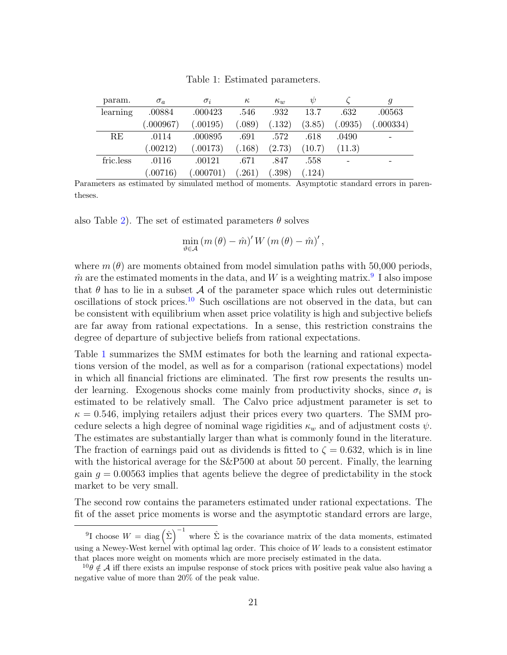Table 1: Estimated parameters.

<span id="page-20-2"></span>

| param.    | $\sigma_a$ | $\sigma_i$ | $\kappa$ | $\kappa_w$ | W      |         |           |
|-----------|------------|------------|----------|------------|--------|---------|-----------|
| learning  | .00884     | .000423    | .546     | .932       | 13.7   | .632    | .00563    |
|           | (0.000967) | (.00195)   | 0.089)   | (.132)     | (3.85) | (.0935) | (.000334) |
| RE        | .0114      | .000895    | .691     | .572       | .618   | .0490   |           |
|           | (.00212)   | (.00173)   | (.168)   | (2.73)     | (10.7) | (11.3)  |           |
| fric.less | .0116      | .00121     | .671     | .847       | .558   |         |           |
|           | (.00716)   | (.000701)  | .261)    | .398)      | (.124) |         |           |

Parameters as estimated by simulated method of moments. Asymptotic standard errors in parentheses.

also Table [2\)](#page-22-0). The set of estimated parameters  $\theta$  solves

$$
\min_{\theta \in \mathcal{A}} (m(\theta) - \hat{m})' W (m(\theta) - \hat{m})',
$$

where  $m(\theta)$  are moments obtained from model simulation paths with 50,000 periods,  $\hat{m}$  are the estimated moments in the data, and W is a weighting matrix.<sup>[9](#page-20-0)</sup> I also impose that  $\theta$  has to lie in a subset  $\mathcal A$  of the parameter space which rules out deterministic oscillations of stock prices.<sup>[10](#page-20-1)</sup> Such oscillations are not observed in the data, but can be consistent with equilibrium when asset price volatility is high and subjective beliefs are far away from rational expectations. In a sense, this restriction constrains the degree of departure of subjective beliefs from rational expectations.

Table [1](#page-20-2) summarizes the SMM estimates for both the learning and rational expectations version of the model, as well as for a comparison (rational expectations) model in which all financial frictions are eliminated. The first row presents the results under learning. Exogenous shocks come mainly from productivity shocks, since  $\sigma_i$  is estimated to be relatively small. The Calvo price adjustment parameter is set to  $\kappa = 0.546$ , implying retailers adjust their prices every two quarters. The SMM procedure selects a high degree of nominal wage rigidities  $\kappa_w$  and of adjustment costs  $\psi$ . The estimates are substantially larger than what is commonly found in the literature. The fraction of earnings paid out as dividends is fitted to  $\zeta = 0.632$ , which is in line with the historical average for the  $S\&P500$  at about 50 percent. Finally, the learning gain  $g = 0.00563$  implies that agents believe the degree of predictability in the stock market to be very small.

The second row contains the parameters estimated under rational expectations. The fit of the asset price moments is worse and the asymptotic standard errors are large,

<span id="page-20-0"></span><sup>&</sup>lt;sup>9</sup>I choose  $W = \text{diag}(\hat{\Sigma})^{-1}$  where  $\hat{\Sigma}$  is the covariance matrix of the data moments, estimated using a Newey-West kernel with optimal lag order. This choice of  $W$  leads to a consistent estimator that places more weight on moments which are more precisely estimated in the data.

<span id="page-20-1"></span> $^{10}\theta \notin A$  iff there exists an impulse response of stock prices with positive peak value also having a negative value of more than 20% of the peak value.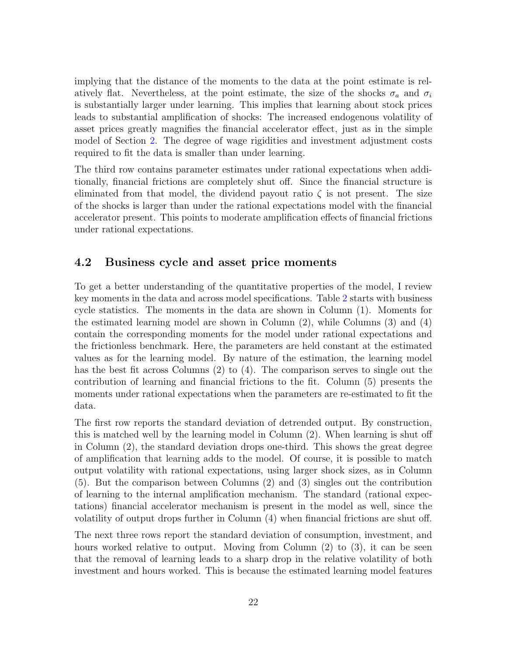implying that the distance of the moments to the data at the point estimate is relatively flat. Nevertheless, at the point estimate, the size of the shocks  $\sigma_a$  and  $\sigma_i$ is substantially larger under learning. This implies that learning about stock prices leads to substantial amplification of shocks: The increased endogenous volatility of asset prices greatly magnifies the financial accelerator effect, just as in the simple model of Section [2.](#page-5-0) The degree of wage rigidities and investment adjustment costs required to fit the data is smaller than under learning.

The third row contains parameter estimates under rational expectations when additionally, financial frictions are completely shut off. Since the financial structure is eliminated from that model, the dividend payout ratio  $\zeta$  is not present. The size of the shocks is larger than under the rational expectations model with the financial accelerator present. This points to moderate amplification effects of financial frictions under rational expectations.

#### 4.2 Business cycle and asset price moments

To get a better understanding of the quantitative properties of the model, I review key moments in the data and across model specifications. Table [2](#page-22-0) starts with business cycle statistics. The moments in the data are shown in Column (1). Moments for the estimated learning model are shown in Column (2), while Columns (3) and (4) contain the corresponding moments for the model under rational expectations and the frictionless benchmark. Here, the parameters are held constant at the estimated values as for the learning model. By nature of the estimation, the learning model has the best fit across Columns (2) to (4). The comparison serves to single out the contribution of learning and financial frictions to the fit. Column (5) presents the moments under rational expectations when the parameters are re-estimated to fit the data.

The first row reports the standard deviation of detrended output. By construction, this is matched well by the learning model in Column (2). When learning is shut off in Column (2), the standard deviation drops one-third. This shows the great degree of amplification that learning adds to the model. Of course, it is possible to match output volatility with rational expectations, using larger shock sizes, as in Column (5). But the comparison between Columns (2) and (3) singles out the contribution of learning to the internal amplification mechanism. The standard (rational expectations) financial accelerator mechanism is present in the model as well, since the volatility of output drops further in Column (4) when financial frictions are shut off.

The next three rows report the standard deviation of consumption, investment, and hours worked relative to output. Moving from Column (2) to (3), it can be seen that the removal of learning leads to a sharp drop in the relative volatility of both investment and hours worked. This is because the estimated learning model features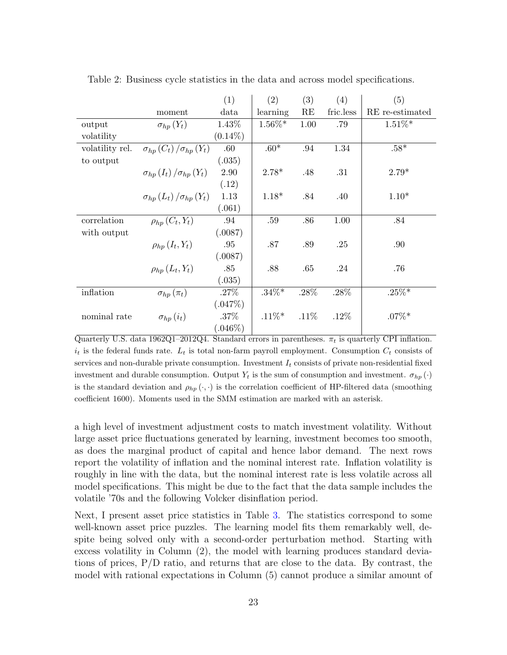|                 |                                     | (1)        | (2)       | (3)     | (4)       | (5)             |
|-----------------|-------------------------------------|------------|-----------|---------|-----------|-----------------|
|                 | moment                              | data       | learning  | RE      | fric.less | RE re-estimated |
| output          | $\sigma_{hp}(Y_t)$                  | 1.43%      | $1.56\%*$ | 1.00    | .79       | $1.51\%*$       |
| volatility      |                                     | $(0.14\%)$ |           |         |           |                 |
| volatility rel. | $\sigma_{hp}(C_t)/\sigma_{hp}(Y_t)$ | .60        | $.60*$    | .94     | 1.34      | $.58^{\ast}$    |
| to output       |                                     | (.035)     |           |         |           |                 |
|                 | $\sigma_{hp}(I_t)/\sigma_{hp}(Y_t)$ | 2.90       | $2.78*$   | .48     | .31       | $2.79*$         |
|                 |                                     | (.12)      |           |         |           |                 |
|                 | $\sigma_{hp}(L_t)/\sigma_{hp}(Y_t)$ | 1.13       | $1.18*$   | .84     | .40       | $1.10*$         |
|                 |                                     | (.061)     |           |         |           |                 |
| correlation     | $\rho_{hp}(C_t,Y_t)$                | .94        | .59       | .86     | 1.00      | .84             |
| with output     |                                     | (.0087)    |           |         |           |                 |
|                 | $\rho_{hp}(I_t,Y_t)$                | .95        | .87       | .89     | .25       | .90             |
|                 |                                     | (.0087)    |           |         |           |                 |
|                 | $\rho_{hp}(L_t,Y_t)$                | .85        | .88       | .65     | .24       | .76             |
|                 |                                     | (.035)     |           |         |           |                 |
| inflation       | $\sigma_{hp}(\pi_t)$                | .27%       | $.34\%*$  | $.28\%$ | .28%      | $.25\%*$        |
|                 |                                     | (.047%)    |           |         |           |                 |
| nominal rate    | $\sigma_{hp}\left(i_{t}\right)$     | .37%       | $.11\%*$  | .11%    | $.12\%$   | $.07\%*$        |
|                 |                                     | $(.046\%)$ |           |         |           |                 |

<span id="page-22-0"></span>Table 2: Business cycle statistics in the data and across model specifications.

Quarterly U.S. data 1962Q1-2012Q4. Standard errors in parentheses.  $\pi_t$  is quarterly CPI inflation.  $i_t$  is the federal funds rate.  $L_t$  is total non-farm payroll employment. Consumption  $C_t$  consists of services and non-durable private consumption. Investment  $I_t$  consists of private non-residential fixed investment and durable consumption. Output  $Y_t$  is the sum of consumption and investment.  $\sigma_{hp}(\cdot)$ is the standard deviation and  $\rho_{hp}(\cdot, \cdot)$  is the correlation coefficient of HP-filtered data (smoothing coefficient 1600). Moments used in the SMM estimation are marked with an asterisk.

a high level of investment adjustment costs to match investment volatility. Without large asset price fluctuations generated by learning, investment becomes too smooth, as does the marginal product of capital and hence labor demand. The next rows report the volatility of inflation and the nominal interest rate. Inflation volatility is roughly in line with the data, but the nominal interest rate is less volatile across all model specifications. This might be due to the fact that the data sample includes the volatile '70s and the following Volcker disinflation period.

Next, I present asset price statistics in Table [3.](#page-23-0) The statistics correspond to some well-known asset price puzzles. The learning model fits them remarkably well, despite being solved only with a second-order perturbation method. Starting with excess volatility in Column (2), the model with learning produces standard deviations of prices, P/D ratio, and returns that are close to the data. By contrast, the model with rational expectations in Column (5) cannot produce a similar amount of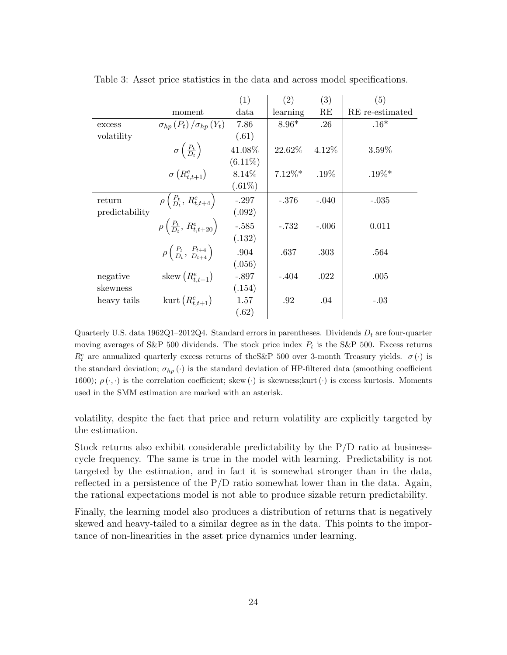|                |                                                             | (1)        | (2)       | (3)     | (5)             |
|----------------|-------------------------------------------------------------|------------|-----------|---------|-----------------|
|                | moment                                                      | data       | learning  | RE      | RE re-estimated |
| excess         | $\sigma_{hp}(P_t)/\sigma_{hp}(Y_t)$                         | 7.86       | $8.96*$   | .26     | $.16*$          |
| volatility     |                                                             | (.61)      |           |         |                 |
|                | $\sigma\left(\frac{P_t}{D_t}\right)$                        | 41.08%     | 22.62%    | 4.12%   | $3.59\%$        |
|                |                                                             | $(6.11\%)$ |           |         |                 |
|                | $\sigma(R_{t,t+1}^e)$                                       | 8.14%      | $7.12\%*$ | $.19\%$ | $.19\%*$        |
|                |                                                             | $(.61\%)$  |           |         |                 |
| return         | $\rho\left(\frac{P_t}{D_t}, R^e_{t,t+4}\right)$             | $-.297$    | $-.376$   | $-.040$ | $-.035$         |
| predictability |                                                             | (.092)     |           |         |                 |
|                | $\rho\left(\frac{P_t}{D_t},\, R^e_{t,t+20}\right)$          | $-.585$    | $-.732$   | $-.006$ | 0.011           |
|                |                                                             | (.132)     |           |         |                 |
|                | $\rho\left(\frac{P_t}{D_t}, \frac{P_{t+4}}{D_{t+4}}\right)$ | .904       | .637      | .303    | .564            |
|                |                                                             | (.056)     |           |         |                 |
| negative       | skew $(R_{t,t+1}^e)$                                        | $-.897$    | $-.404$   | .022    | .005            |
| skewness       |                                                             | (.154)     |           |         |                 |
| heavy tails    | kurt $(R_{t,t+1}^e)$                                        | 1.57       | .92       | .04     | $-.03$          |
|                |                                                             | (.62)      |           |         |                 |

<span id="page-23-0"></span>Table 3: Asset price statistics in the data and across model specifications.

Quarterly U.S. data  $1962Q1-2012Q4$ . Standard errors in parentheses. Dividends  $D_t$  are four-quarter moving averages of S&P 500 dividends. The stock price index  $P_t$  is the S&P 500. Excess returns  $R_t^e$  are annualized quarterly excess returns of the S&P 500 over 3-month Treasury yields.  $\sigma(\cdot)$  is the standard deviation;  $\sigma_{hp}(\cdot)$  is the standard deviation of HP-filtered data (smoothing coefficient 1600);  $\rho(\cdot, \cdot)$  is the correlation coefficient; skew ( $\cdot$ ) is skewness;kurt ( $\cdot$ ) is excess kurtosis. Moments used in the SMM estimation are marked with an asterisk.

volatility, despite the fact that price and return volatility are explicitly targeted by the estimation.

Stock returns also exhibit considerable predictability by the  $P/D$  ratio at businesscycle frequency. The same is true in the model with learning. Predictability is not targeted by the estimation, and in fact it is somewhat stronger than in the data, reflected in a persistence of the  $P/D$  ratio somewhat lower than in the data. Again, the rational expectations model is not able to produce sizable return predictability.

Finally, the learning model also produces a distribution of returns that is negatively skewed and heavy-tailed to a similar degree as in the data. This points to the importance of non-linearities in the asset price dynamics under learning.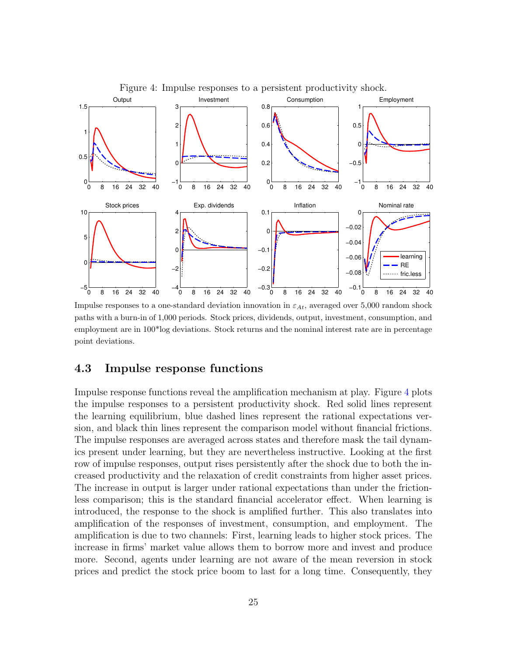<span id="page-24-0"></span>

Impulse responses to a one-standard deviation innovation in  $\varepsilon_{At}$ , averaged over 5,000 random shock paths with a burn-in of 1,000 periods. Stock prices, dividends, output, investment, consumption, and employment are in 100\*log deviations. Stock returns and the nominal interest rate are in percentage point deviations.

### 4.3 Impulse response functions

Impulse response functions reveal the amplification mechanism at play. Figure [4](#page-24-0) plots the impulse responses to a persistent productivity shock. Red solid lines represent the learning equilibrium, blue dashed lines represent the rational expectations version, and black thin lines represent the comparison model without financial frictions. The impulse responses are averaged across states and therefore mask the tail dynamics present under learning, but they are nevertheless instructive. Looking at the first row of impulse responses, output rises persistently after the shock due to both the increased productivity and the relaxation of credit constraints from higher asset prices. The increase in output is larger under rational expectations than under the frictionless comparison; this is the standard financial accelerator effect. When learning is introduced, the response to the shock is amplified further. This also translates into amplification of the responses of investment, consumption, and employment. The amplification is due to two channels: First, learning leads to higher stock prices. The increase in firms' market value allows them to borrow more and invest and produce more. Second, agents under learning are not aware of the mean reversion in stock prices and predict the stock price boom to last for a long time. Consequently, they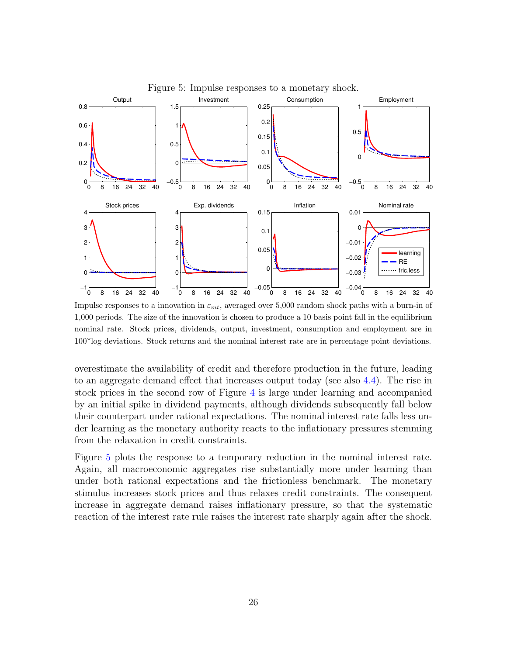<span id="page-25-0"></span>

Figure 5: Impulse responses to a monetary shock.

Impulse responses to a innovation in  $\varepsilon_{mt}$ , averaged over 5,000 random shock paths with a burn-in of 1,000 periods. The size of the innovation is chosen to produce a 10 basis point fall in the equilibrium nominal rate. Stock prices, dividends, output, investment, consumption and employment are in 100\*log deviations. Stock returns and the nominal interest rate are in percentage point deviations.

overestimate the availability of credit and therefore production in the future, leading to an aggregate demand effect that increases output today (see also [4.4\)](#page-26-0). The rise in stock prices in the second row of Figure [4](#page-24-0) is large under learning and accompanied by an initial spike in dividend payments, although dividends subsequently fall below their counterpart under rational expectations. The nominal interest rate falls less under learning as the monetary authority reacts to the inflationary pressures stemming from the relaxation in credit constraints.

Figure [5](#page-25-0) plots the response to a temporary reduction in the nominal interest rate. Again, all macroeconomic aggregates rise substantially more under learning than under both rational expectations and the frictionless benchmark. The monetary stimulus increases stock prices and thus relaxes credit constraints. The consequent increase in aggregate demand raises inflationary pressure, so that the systematic reaction of the interest rate rule raises the interest rate sharply again after the shock.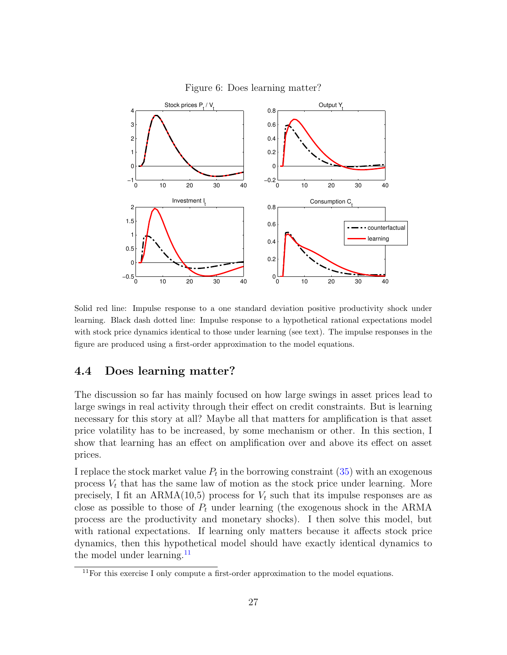<span id="page-26-2"></span>

Figure 6: Does learning matter?

Solid red line: Impulse response to a one standard deviation positive productivity shock under learning. Black dash dotted line: Impulse response to a hypothetical rational expectations model with stock price dynamics identical to those under learning (see text). The impulse responses in the figure are produced using a first-order approximation to the model equations.

### <span id="page-26-0"></span>4.4 Does learning matter?

The discussion so far has mainly focused on how large swings in asset prices lead to large swings in real activity through their effect on credit constraints. But is learning necessary for this story at all? Maybe all that matters for amplification is that asset price volatility has to be increased, by some mechanism or other. In this section, I show that learning has an effect on amplification over and above its effect on asset prices.

I replace the stock market value  $P_t$  in the borrowing constraint  $(35)$  with an exogenous process  $V_t$  that has the same law of motion as the stock price under learning. More precisely, I fit an ARMA(10,5) process for  $V_t$  such that its impulse responses are as close as possible to those of  $P_t$  under learning (the exogenous shock in the ARMA process are the productivity and monetary shocks). I then solve this model, but with rational expectations. If learning only matters because it affects stock price dynamics, then this hypothetical model should have exactly identical dynamics to the model under learning <sup>[11](#page-26-1)</sup>

<span id="page-26-1"></span><sup>&</sup>lt;sup>11</sup>For this exercise I only compute a first-order approximation to the model equations.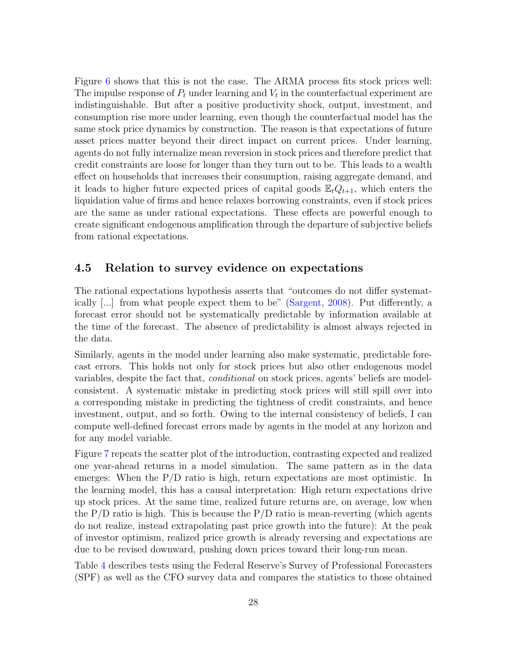Figure [6](#page-26-2) shows that this is not the case. The ARMA process fits stock prices well: The impulse response of  $P_t$  under learning and  $V_t$  in the counterfactual experiment are indistinguishable. But after a positive productivity shock, output, investment, and consumption rise more under learning, even though the counterfactual model has the same stock price dynamics by construction. The reason is that expectations of future asset prices matter beyond their direct impact on current prices. Under learning, agents do not fully internalize mean reversion in stock prices and therefore predict that credit constraints are loose for longer than they turn out to be. This leads to a wealth effect on households that increases their consumption, raising aggregate demand, and it leads to higher future expected prices of capital goods  $\mathbb{E}_tQ_{t+1}$ , which enters the liquidation value of firms and hence relaxes borrowing constraints, even if stock prices are the same as under rational expectations. These effects are powerful enough to create significant endogenous amplification through the departure of subjective beliefs from rational expectations.

### 4.5 Relation to survey evidence on expectations

The rational expectations hypothesis asserts that "outcomes do not differ systematically [...] from what people expect them to be" [\(Sargent,](#page-38-5) [2008\)](#page-38-5). Put differently, a forecast error should not be systematically predictable by information available at the time of the forecast. The absence of predictability is almost always rejected in the data.

Similarly, agents in the model under learning also make systematic, predictable forecast errors. This holds not only for stock prices but also other endogenous model variables, despite the fact that, conditional on stock prices, agents' beliefs are modelconsistent. A systematic mistake in predicting stock prices will still spill over into a corresponding mistake in predicting the tightness of credit constraints, and hence investment, output, and so forth. Owing to the internal consistency of beliefs, I can compute well-defined forecast errors made by agents in the model at any horizon and for any model variable.

Figure [7](#page-28-0) repeats the scatter plot of the introduction, contrasting expected and realized one year-ahead returns in a model simulation. The same pattern as in the data emerges: When the P/D ratio is high, return expectations are most optimistic. In the learning model, this has a causal interpretation: High return expectations drive up stock prices. At the same time, realized future returns are, on average, low when the  $P/D$  ratio is high. This is because the  $P/D$  ratio is mean-reverting (which agents do not realize, instead extrapolating past price growth into the future): At the peak of investor optimism, realized price growth is already reversing and expectations are due to be revised downward, pushing down prices toward their long-run mean.

Table [4](#page-29-0) describes tests using the Federal Reserve's Survey of Professional Forecasters (SPF) as well as the CFO survey data and compares the statistics to those obtained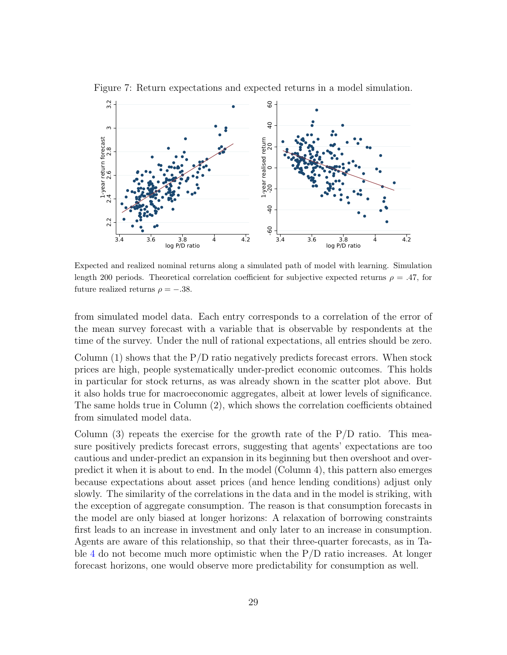

<span id="page-28-0"></span>Figure 7: Return expectations and expected returns in a model simulation.

Expected and realized nominal returns along a simulated path of model with learning. Simulation length 200 periods. Theoretical correlation coefficient for subjective expected returns  $\rho = .47$ , for future realized returns  $\rho = -.38$ .

from simulated model data. Each entry corresponds to a correlation of the error of the mean survey forecast with a variable that is observable by respondents at the time of the survey. Under the null of rational expectations, all entries should be zero.

Column  $(1)$  shows that the P/D ratio negatively predicts forecast errors. When stock prices are high, people systematically under-predict economic outcomes. This holds in particular for stock returns, as was already shown in the scatter plot above. But it also holds true for macroeconomic aggregates, albeit at lower levels of significance. The same holds true in Column (2), which shows the correlation coefficients obtained from simulated model data.

Column  $(3)$  repeats the exercise for the growth rate of the P/D ratio. This measure positively predicts forecast errors, suggesting that agents' expectations are too cautious and under-predict an expansion in its beginning but then overshoot and overpredict it when it is about to end. In the model (Column 4), this pattern also emerges because expectations about asset prices (and hence lending conditions) adjust only slowly. The similarity of the correlations in the data and in the model is striking, with the exception of aggregate consumption. The reason is that consumption forecasts in the model are only biased at longer horizons: A relaxation of borrowing constraints first leads to an increase in investment and only later to an increase in consumption. Agents are aware of this relationship, so that their three-quarter forecasts, as in Ta-ble [4](#page-29-0) do not become much more optimistic when the  $P/D$  ratio increases. At longer forecast horizons, one would observe more predictability for consumption as well.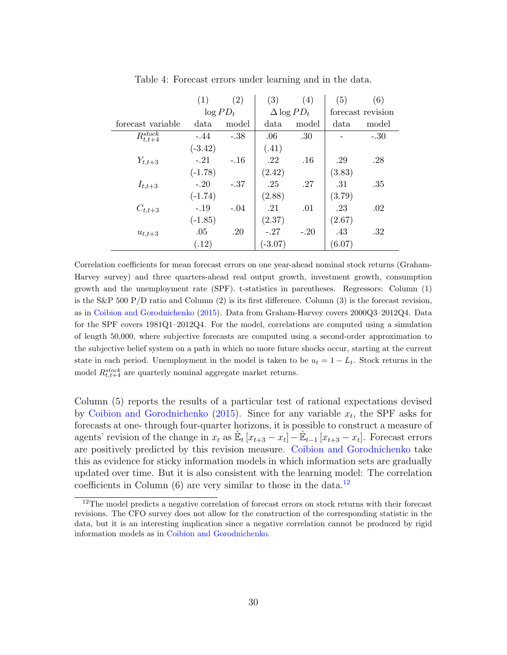<span id="page-29-0"></span>

|                                | (1)         | (2)    | (3)                | (4)    | (5)               | (6)    |
|--------------------------------|-------------|--------|--------------------|--------|-------------------|--------|
|                                | $\log PD_t$ |        | $\Delta \log PD_t$ |        | forecast revision |        |
| forecast variable              | data        | model  | data               | model  | data              | model  |
| $\overline{R^{stock}_{t.t+4}}$ | $-.44$      | $-.38$ | .06                | .30    |                   | $-.30$ |
|                                | $(-3.42)$   |        | (.41)              |        |                   |        |
| $Y_{t,t+3}$                    | $-.21$      | $-.16$ | .22                | .16    | .29               | .28    |
|                                | $(-1.78)$   |        | (2.42)             |        | (3.83)            |        |
| $I_{t,t+3}$                    | $-.20$      | $-.37$ | .25                | .27    | .31               | .35    |
|                                | $(-1.74)$   |        | (2.88)             |        | (3.79)            |        |
| $C_{t,t+3}$                    | $-.19$      | $-.04$ | .21                | .01    | .23               | .02    |
|                                | $(-1.85)$   |        | (2.37)             |        | (2.67)            |        |
| $u_{t,t+3}$                    | .05         | .20    | $-.27$             | $-.20$ | .43               | .32    |
|                                | (.12)       |        | $(-3.07)$          |        | (6.07)            |        |

Table 4: Forecast errors under learning and in the data.

Correlation coefficients for mean forecast errors on one year-ahead nominal stock returns (Graham-Harvey survey) and three quarters-ahead real output growth, investment growth, consumption growth and the unemployment rate (SPF). t-statistics in parentheses. Regressors: Column (1) is the S&P 500 P/D ratio and Column  $(2)$  is its first difference. Column  $(3)$  is the forecast revision, as in [Coibion and Gorodnichenko](#page-36-5) [\(2015\)](#page-36-5). Data from Graham-Harvey covers 2000Q3–2012Q4. Data for the SPF covers 1981Q1–2012Q4. For the model, correlations are computed using a simulation of length 50,000, where subjective forecasts are computed using a second-order approximation to the subjective belief system on a path in which no more future shocks occur, starting at the current state in each period. Unemployment in the model is taken to be  $u_t = 1 - L_t$ . Stock returns in the model  $R_{t,t+4}^{stock}$  are quarterly nominal aggregate market returns.

Column (5) reports the results of a particular test of rational expectations devised by [Coibion and Gorodnichenko](#page-36-5) [\(2015\)](#page-36-5). Since for any variable  $x_t$ , the SPF asks for forecasts at one- through four-quarter horizons, it is possible to construct a measure of agents' revision of the change in  $x_t$  as  $\mathbb{E}_t [x_{t+3} - x_t] - \mathbb{E}_{t-1} [x_{t+3} - x_t]$ . Forecast errors are positively predicted by this revision measure. [Coibion and Gorodnichenko](#page-36-5) take this as evidence for sticky information models in which information sets are gradually updated over time. But it is also consistent with the learning model: The correlation coefficients in Column  $(6)$  are very similar to those in the data.<sup>[12](#page-29-1)</sup>

<span id="page-29-1"></span><sup>&</sup>lt;sup>12</sup>The model predicts a negative correlation of forecast errors on stock returns with their forecast revisions. The CFO survey does not allow for the construction of the corresponding statistic in the data, but it is an interesting implication since a negative correlation cannot be produced by rigid information models as in [Coibion and Gorodnichenko.](#page-36-5)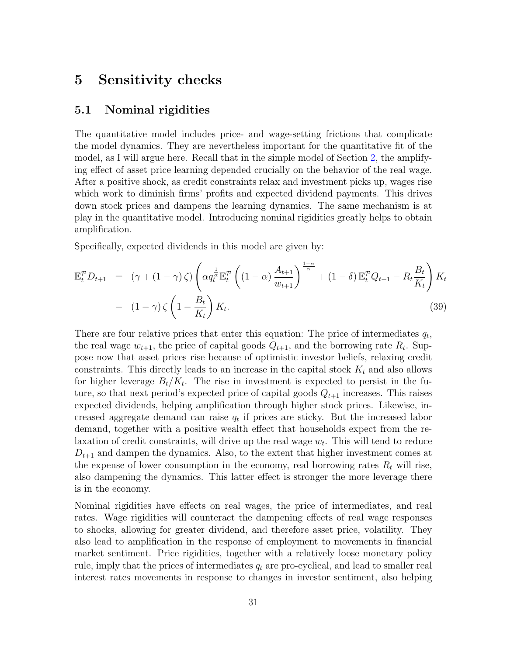## <span id="page-30-0"></span>5 Sensitivity checks

### 5.1 Nominal rigidities

The quantitative model includes price- and wage-setting frictions that complicate the model dynamics. They are nevertheless important for the quantitative fit of the model, as I will argue here. Recall that in the simple model of Section [2,](#page-5-0) the amplifying effect of asset price learning depended crucially on the behavior of the real wage. After a positive shock, as credit constraints relax and investment picks up, wages rise which work to diminish firms' profits and expected dividend payments. This drives down stock prices and dampens the learning dynamics. The same mechanism is at play in the quantitative model. Introducing nominal rigidities greatly helps to obtain amplification.

Specifically, expected dividends in this model are given by:

$$
\mathbb{E}_{t}^{\mathcal{P}} D_{t+1} = (\gamma + (1 - \gamma) \zeta) \left( \alpha q_{t}^{\frac{1}{\alpha}} \mathbb{E}_{t}^{\mathcal{P}} \left( (1 - \alpha) \frac{A_{t+1}}{w_{t+1}} \right)^{\frac{1-\alpha}{\alpha}} + (1 - \delta) \mathbb{E}_{t}^{\mathcal{P}} Q_{t+1} - R_{t} \frac{B_{t}}{K_{t}} \right) K_{t}
$$

$$
- (1 - \gamma) \zeta \left( 1 - \frac{B_{t}}{K_{t}} \right) K_{t}.
$$
(39)

There are four relative prices that enter this equation: The price of intermediates  $q_t$ , the real wage  $w_{t+1}$ , the price of capital goods  $Q_{t+1}$ , and the borrowing rate  $R_t$ . Suppose now that asset prices rise because of optimistic investor beliefs, relaxing credit constraints. This directly leads to an increase in the capital stock  $K_t$  and also allows for higher leverage  $B_t/K_t$ . The rise in investment is expected to persist in the future, so that next period's expected price of capital goods  $Q_{t+1}$  increases. This raises expected dividends, helping amplification through higher stock prices. Likewise, increased aggregate demand can raise  $q_t$  if prices are sticky. But the increased labor demand, together with a positive wealth effect that households expect from the relaxation of credit constraints, will drive up the real wage  $w_t$ . This will tend to reduce  $D_{t+1}$  and dampen the dynamics. Also, to the extent that higher investment comes at the expense of lower consumption in the economy, real borrowing rates  $R_t$  will rise, also dampening the dynamics. This latter effect is stronger the more leverage there is in the economy.

Nominal rigidities have effects on real wages, the price of intermediates, and real rates. Wage rigidities will counteract the dampening effects of real wage responses to shocks, allowing for greater dividend, and therefore asset price, volatility. They also lead to amplification in the response of employment to movements in financial market sentiment. Price rigidities, together with a relatively loose monetary policy rule, imply that the prices of intermediates  $q_t$  are pro-cyclical, and lead to smaller real interest rates movements in response to changes in investor sentiment, also helping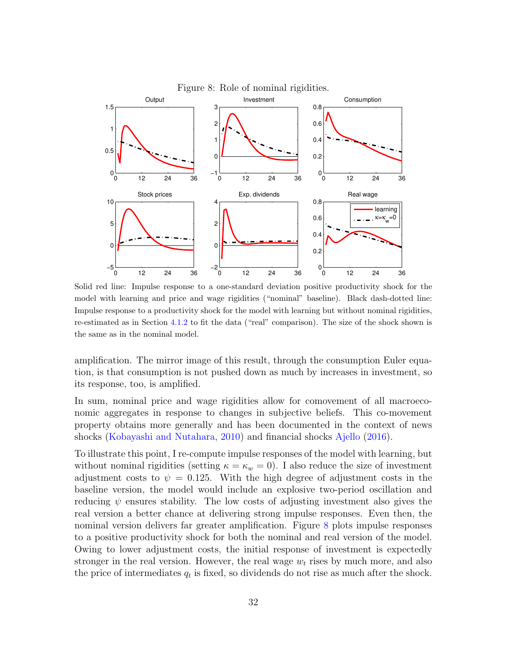<span id="page-31-0"></span>

Solid red line: Impulse response to a one-standard deviation positive productivity shock for the model with learning and price and wage rigidities ("nominal" baseline). Black dash-dotted line: Impulse response to a productivity shock for the model with learning but without nominal rigidities, re-estimated as in Section [4.1.2](#page-19-1) to fit the data ("real" comparison). The size of the shock shown is the same as in the nominal model.

amplification. The mirror image of this result, through the consumption Euler equation, is that consumption is not pushed down as much by increases in investment, so its response, too, is amplified.

In sum, nominal price and wage rigidities allow for comovement of all macroeconomic aggregates in response to changes in subjective beliefs. This co-movement property obtains more generally and has been documented in the context of news shocks [\(Kobayashi and Nutahara,](#page-37-12) [2010\)](#page-37-12) and financial shocks [Ajello](#page-36-9) [\(2016\)](#page-36-9).

To illustrate this point, I re-compute impulse responses of the model with learning, but without nominal rigidities (setting  $\kappa = \kappa_w = 0$ ). I also reduce the size of investment adjustment costs to  $\psi = 0.125$ . With the high degree of adjustment costs in the baseline version, the model would include an explosive two-period oscillation and reducing  $\psi$  ensures stability. The low costs of adjusting investment also gives the real version a better chance at delivering strong impulse responses. Even then, the nominal version delivers far greater amplification. Figure [8](#page-31-0) plots impulse responses to a positive productivity shock for both the nominal and real version of the model. Owing to lower adjustment costs, the initial response of investment is expectedly stronger in the real version. However, the real wage  $w_t$  rises by much more, and also the price of intermediates  $q_t$  is fixed, so dividends do not rise as much after the shock.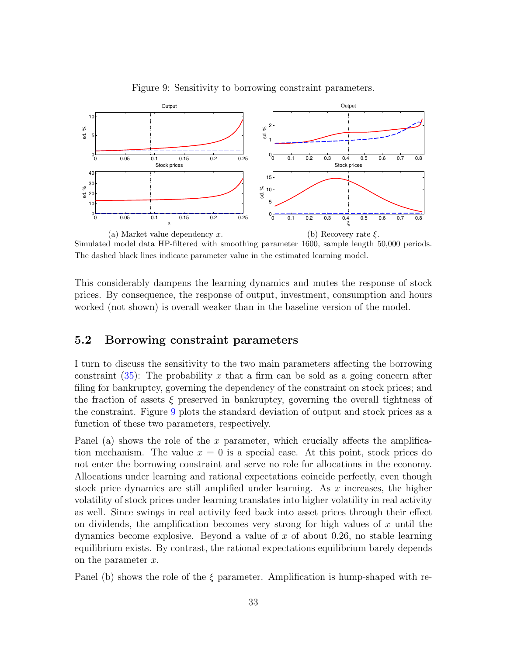<span id="page-32-1"></span>

Figure 9: Sensitivity to borrowing constraint parameters.

Simulated model data HP-filtered with smoothing parameter 1600, sample length 50,000 periods. The dashed black lines indicate parameter value in the estimated learning model.

This considerably dampens the learning dynamics and mutes the response of stock prices. By consequence, the response of output, investment, consumption and hours worked (not shown) is overall weaker than in the baseline version of the model.

#### <span id="page-32-0"></span>5.2 Borrowing constraint parameters

I turn to discuss the sensitivity to the two main parameters affecting the borrowing constraint  $(35)$ : The probability x that a firm can be sold as a going concern after filing for bankruptcy, governing the dependency of the constraint on stock prices; and the fraction of assets  $\xi$  preserved in bankruptcy, governing the overall tightness of the constraint. Figure [9](#page-32-1) plots the standard deviation of output and stock prices as a function of these two parameters, respectively.

Panel (a) shows the role of the x parameter, which crucially affects the amplification mechanism. The value  $x = 0$  is a special case. At this point, stock prices do not enter the borrowing constraint and serve no role for allocations in the economy. Allocations under learning and rational expectations coincide perfectly, even though stock price dynamics are still amplified under learning. As  $x$  increases, the higher volatility of stock prices under learning translates into higher volatility in real activity as well. Since swings in real activity feed back into asset prices through their effect on dividends, the amplification becomes very strong for high values of  $x$  until the dynamics become explosive. Beyond a value of  $x$  of about 0.26, no stable learning equilibrium exists. By contrast, the rational expectations equilibrium barely depends on the parameter  $x$ .

Panel (b) shows the role of the  $\xi$  parameter. Amplification is hump-shaped with re-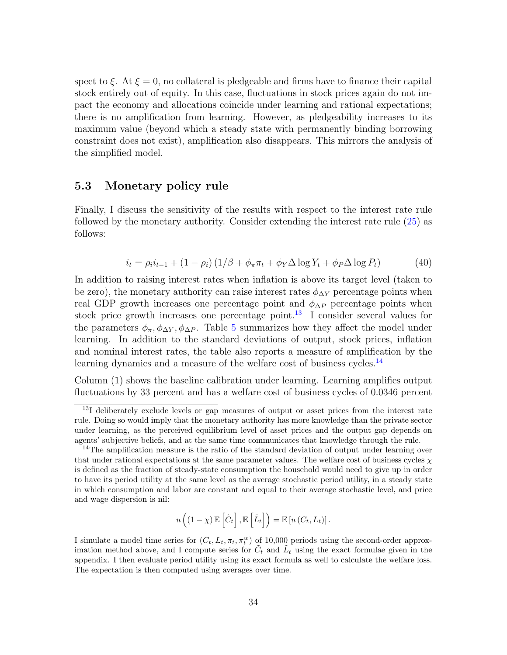spect to  $\xi$ . At  $\xi = 0$ , no collateral is pledgeable and firms have to finance their capital stock entirely out of equity. In this case, fluctuations in stock prices again do not impact the economy and allocations coincide under learning and rational expectations; there is no amplification from learning. However, as pledgeability increases to its maximum value (beyond which a steady state with permanently binding borrowing constraint does not exist), amplification also disappears. This mirrors the analysis of the simplified model.

## 5.3 Monetary policy rule

Finally, I discuss the sensitivity of the results with respect to the interest rate rule followed by the monetary authority. Consider extending the interest rate rule [\(25\)](#page-15-1) as follows:

$$
i_t = \rho_i i_{t-1} + (1 - \rho_i) (1/\beta + \phi_\pi \pi_t + \phi_Y \Delta \log Y_t + \phi_P \Delta \log P_t)
$$
(40)

In addition to raising interest rates when inflation is above its target level (taken to be zero), the monetary authority can raise interest rates  $\phi_{\Delta Y}$  percentage points when real GDP growth increases one percentage point and  $\phi_{\Delta P}$  percentage points when stock price growth increases one percentage point.<sup>[13](#page-33-0)</sup> I consider several values for the parameters  $\phi_{\pi}, \phi_{\Delta Y}, \phi_{\Delta P}$ . Table [5](#page-34-0) summarizes how they affect the model under learning. In addition to the standard deviations of output, stock prices, inflation and nominal interest rates, the table also reports a measure of amplification by the learning dynamics and a measure of the welfare cost of business cycles.<sup>[14](#page-33-1)</sup>

Column (1) shows the baseline calibration under learning. Learning amplifies output fluctuations by 33 percent and has a welfare cost of business cycles of 0.0346 percent

$$
u\left((1-\chi)\mathbb{E}\left[\tilde{C}_t\right],\mathbb{E}\left[\tilde{L}_t\right]\right)=\mathbb{E}\left[u\left(C_t,L_t\right)\right].
$$

<span id="page-33-0"></span><sup>&</sup>lt;sup>13</sup>I deliberately exclude levels or gap measures of output or asset prices from the interest rate rule. Doing so would imply that the monetary authority has more knowledge than the private sector under learning, as the perceived equilibrium level of asset prices and the output gap depends on agents' subjective beliefs, and at the same time communicates that knowledge through the rule.

<span id="page-33-1"></span><sup>&</sup>lt;sup>14</sup>The amplification measure is the ratio of the standard deviation of output under learning over that under rational expectations at the same parameter values. The welfare cost of business cycles  $\chi$ is defined as the fraction of steady-state consumption the household would need to give up in order to have its period utility at the same level as the average stochastic period utility, in a steady state in which consumption and labor are constant and equal to their average stochastic level, and price and wage dispersion is nil:

I simulate a model time series for  $(C_t, L_t, \pi_t, \pi_t^w)$  of 10,000 periods using the second-order approximation method above, and I compute series for  $\tilde{C}_t$  and  $\tilde{L}_t$  using the exact formulae given in the appendix. I then evaluate period utility using its exact formula as well to calculate the welfare loss. The expectation is then computed using averages over time.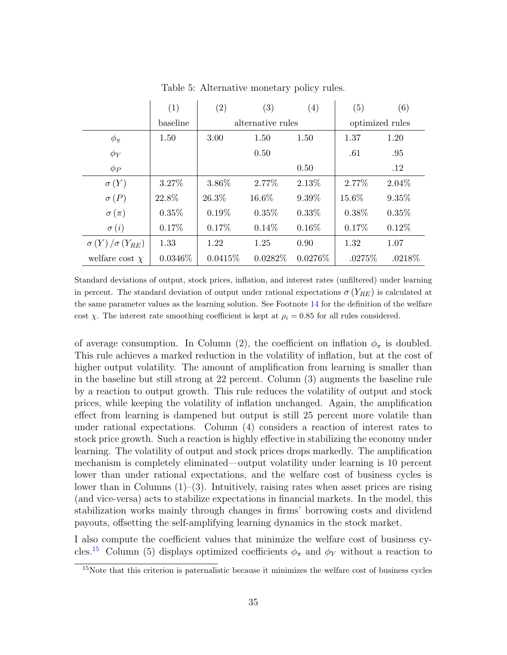<span id="page-34-0"></span>

|                            | (1)        | (2)      | $\left( 3\right)$ | (4)        | (5)             | (6)      |
|----------------------------|------------|----------|-------------------|------------|-----------------|----------|
|                            | baseline   |          | alternative rules |            | optimized rules |          |
| $\phi_{\pi}$               | 1.50       | 3.00     | 1.50              | 1.50       | 1.37            | 1.20     |
| $\phi_Y$                   |            |          | 0.50              |            | .61             | .95      |
| $\phi_P$                   |            |          |                   | 0.50       |                 | .12      |
| $\sigma(Y)$                | 3.27%      | 3.86%    | 2.77%             | 2.13%      | 2.77%           | $2.04\%$ |
| $\sigma(P)$                | 22.8%      | 26.3%    | 16.6%             | 9.39%      | 15.6%           | 9.35%    |
| $\sigma(\pi)$              | $0.35\%$   | $0.19\%$ | $0.35\%$          | $0.33\%$   | $0.38\%$        | 0.35%    |
| $\sigma(i)$                | $0.17\%$   | 0.17%    | $0.14\%$          | $0.16\%$   | 0.17%           | $0.12\%$ |
| $\sigma(Y)/\sigma(Y_{RE})$ | 1.33       | 1.22     | 1.25              | 0.90       | 1.32            | 1.07     |
| welfare cost $\chi$        | $0.0346\%$ | 0.0415%  | $0.0282\%$        | $0.0276\%$ | .0275%          | .0218%   |

Table 5: Alternative monetary policy rules.

Standard deviations of output, stock prices, inflation, and interest rates (unfiltered) under learning in percent. The standard deviation of output under rational expectations  $\sigma(Y_{RE})$  is calculated at the same parameter values as the learning solution. See Footnote [14](#page-33-1) for the definition of the welfare cost  $\chi$ . The interest rate smoothing coefficient is kept at  $\rho_i = 0.85$  for all rules considered.

of average consumption. In Column (2), the coefficient on inflation  $\phi_{\pi}$  is doubled. This rule achieves a marked reduction in the volatility of inflation, but at the cost of higher output volatility. The amount of amplification from learning is smaller than in the baseline but still strong at 22 percent. Column (3) augments the baseline rule by a reaction to output growth. This rule reduces the volatility of output and stock prices, while keeping the volatility of inflation unchanged. Again, the amplification effect from learning is dampened but output is still 25 percent more volatile than under rational expectations. Column (4) considers a reaction of interest rates to stock price growth. Such a reaction is highly effective in stabilizing the economy under learning. The volatility of output and stock prices drops markedly. The amplification mechanism is completely eliminated—output volatility under learning is 10 percent lower than under rational expectations, and the welfare cost of business cycles is lower than in Columns (1)–(3). Intuitively, raising rates when asset prices are rising (and vice-versa) acts to stabilize expectations in financial markets. In the model, this stabilization works mainly through changes in firms' borrowing costs and dividend payouts, offsetting the self-amplifying learning dynamics in the stock market.

I also compute the coefficient values that minimize the welfare cost of business cy-cles.<sup>[15](#page-34-1)</sup> Column (5) displays optimized coefficients  $\phi_{\pi}$  and  $\phi_{Y}$  without a reaction to

<span id="page-34-1"></span><sup>&</sup>lt;sup>15</sup>Note that this criterion is paternalistic because it minimizes the welfare cost of business cycles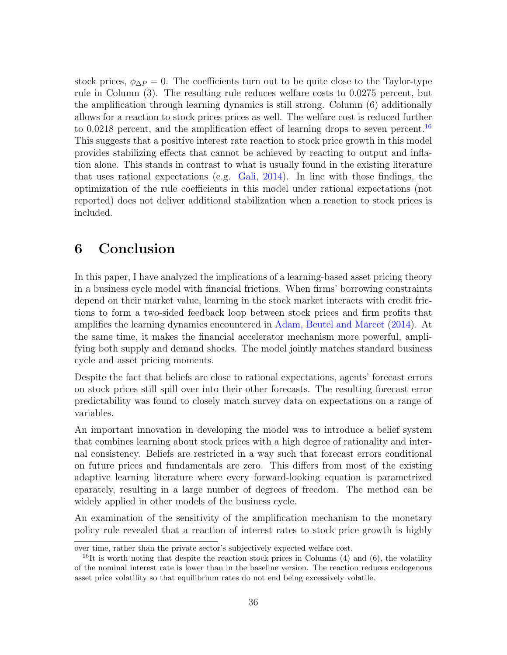stock prices,  $\phi_{\Delta P} = 0$ . The coefficients turn out to be quite close to the Taylor-type rule in Column (3). The resulting rule reduces welfare costs to 0.0275 percent, but the amplification through learning dynamics is still strong. Column (6) additionally allows for a reaction to stock prices prices as well. The welfare cost is reduced further to 0.0218 percent, and the amplification effect of learning drops to seven percent.<sup>[16](#page-35-1)</sup> This suggests that a positive interest rate reaction to stock price growth in this model provides stabilizing effects that cannot be achieved by reacting to output and inflation alone. This stands in contrast to what is usually found in the existing literature that uses rational expectations (e.g. [Gali,](#page-37-13) [2014\)](#page-37-13). In line with those findings, the optimization of the rule coefficients in this model under rational expectations (not reported) does not deliver additional stabilization when a reaction to stock prices is included.

## <span id="page-35-0"></span>6 Conclusion

In this paper, I have analyzed the implications of a learning-based asset pricing theory in a business cycle model with financial frictions. When firms' borrowing constraints depend on their market value, learning in the stock market interacts with credit frictions to form a two-sided feedback loop between stock prices and firm profits that amplifies the learning dynamics encountered in [Adam, Beutel and Marcet](#page-36-6) [\(2014\)](#page-36-6). At the same time, it makes the financial accelerator mechanism more powerful, amplifying both supply and demand shocks. The model jointly matches standard business cycle and asset pricing moments.

Despite the fact that beliefs are close to rational expectations, agents' forecast errors on stock prices still spill over into their other forecasts. The resulting forecast error predictability was found to closely match survey data on expectations on a range of variables.

An important innovation in developing the model was to introduce a belief system that combines learning about stock prices with a high degree of rationality and internal consistency. Beliefs are restricted in a way such that forecast errors conditional on future prices and fundamentals are zero. This differs from most of the existing adaptive learning literature where every forward-looking equation is parametrized eparately, resulting in a large number of degrees of freedom. The method can be widely applied in other models of the business cycle.

An examination of the sensitivity of the amplification mechanism to the monetary policy rule revealed that a reaction of interest rates to stock price growth is highly

over time, rather than the private sector's subjectively expected welfare cost.

<span id="page-35-1"></span> $16$ It is worth noting that despite the reaction stock prices in Columns (4) and (6), the volatility of the nominal interest rate is lower than in the baseline version. The reaction reduces endogenous asset price volatility so that equilibrium rates do not end being excessively volatile.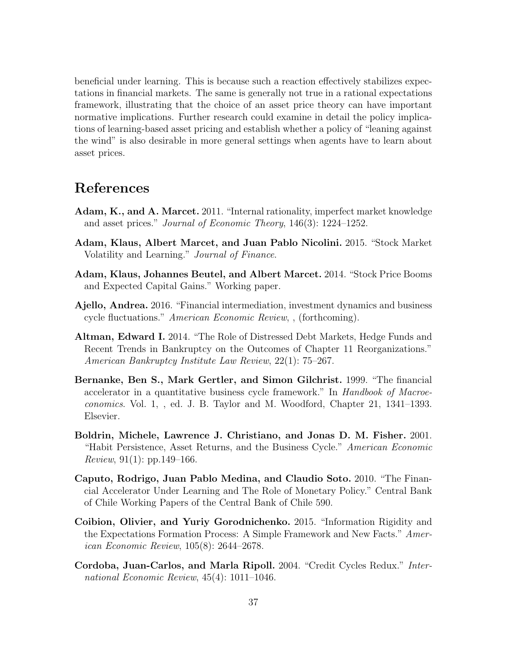beneficial under learning. This is because such a reaction effectively stabilizes expectations in financial markets. The same is generally not true in a rational expectations framework, illustrating that the choice of an asset price theory can have important normative implications. Further research could examine in detail the policy implications of learning-based asset pricing and establish whether a policy of "leaning against the wind" is also desirable in more general settings when agents have to learn about asset prices.

## References

- <span id="page-36-1"></span>Adam, K., and A. Marcet. 2011. "Internal rationality, imperfect market knowledge and asset prices." Journal of Economic Theory, 146(3): 1224–1252.
- <span id="page-36-0"></span>Adam, Klaus, Albert Marcet, and Juan Pablo Nicolini. 2015. "Stock Market Volatility and Learning." Journal of Finance.
- <span id="page-36-6"></span>Adam, Klaus, Johannes Beutel, and Albert Marcet. 2014. "Stock Price Booms and Expected Capital Gains." Working paper.
- <span id="page-36-9"></span>Ajello, Andrea. 2016. "Financial intermediation, investment dynamics and business cycle fluctuations." American Economic Review, , (forthcoming).
- <span id="page-36-8"></span>Altman, Edward I. 2014. "The Role of Distressed Debt Markets, Hedge Funds and Recent Trends in Bankruptcy on the Outcomes of Chapter 11 Reorganizations." American Bankruptcy Institute Law Review, 22(1): 75–267.
- <span id="page-36-7"></span>Bernanke, Ben S., Mark Gertler, and Simon Gilchrist. 1999. "The financial accelerator in a quantitative business cycle framework." In Handbook of Macroeconomics. Vol. 1, , ed. J. B. Taylor and M. Woodford, Chapter 21, 1341–1393. Elsevier.
- <span id="page-36-3"></span>Boldrin, Michele, Lawrence J. Christiano, and Jonas D. M. Fisher. 2001. "Habit Persistence, Asset Returns, and the Business Cycle." American Economic *Review*, 91(1): pp.149–166.
- <span id="page-36-4"></span>Caputo, Rodrigo, Juan Pablo Medina, and Claudio Soto. 2010. "The Financial Accelerator Under Learning and The Role of Monetary Policy." Central Bank of Chile Working Papers of the Central Bank of Chile 590.
- <span id="page-36-5"></span>Coibion, Olivier, and Yuriy Gorodnichenko. 2015. "Information Rigidity and the Expectations Formation Process: A Simple Framework and New Facts." American Economic Review, 105(8): 2644–2678.
- <span id="page-36-2"></span>Cordoba, Juan-Carlos, and Marla Ripoll. 2004. "Credit Cycles Redux." International Economic Review, 45(4): 1011–1046.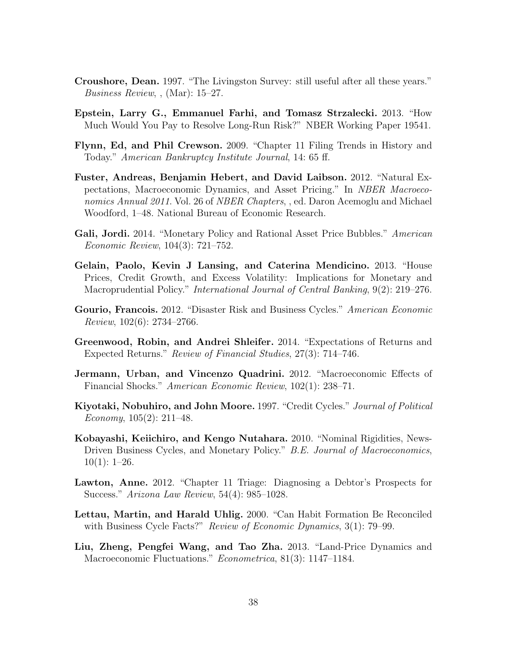- <span id="page-37-9"></span>Croushore, Dean. 1997. "The Livingston Survey: still useful after all these years." Business Review, , (Mar): 15–27.
- <span id="page-37-6"></span>Epstein, Larry G., Emmanuel Farhi, and Tomasz Strzalecki. 2013. "How Much Would You Pay to Resolve Long-Run Risk?" NBER Working Paper 19541.
- <span id="page-37-10"></span>Flynn, Ed, and Phil Crewson. 2009. "Chapter 11 Filing Trends in History and Today." American Bankruptcy Institute Journal, 14: 65 ff.
- <span id="page-37-8"></span>Fuster, Andreas, Benjamin Hebert, and David Laibson. 2012. "Natural Expectations, Macroeconomic Dynamics, and Asset Pricing." In NBER Macroeconomics Annual 2011. Vol. 26 of *NBER Chapters*, , ed. Daron Acemoglu and Michael Woodford, 1–48. National Bureau of Economic Research.
- <span id="page-37-13"></span>Gali, Jordi. 2014. "Monetary Policy and Rational Asset Price Bubbles." American Economic Review, 104(3): 721–752.
- <span id="page-37-7"></span>Gelain, Paolo, Kevin J Lansing, and Caterina Mendicino. 2013. "House Prices, Credit Growth, and Excess Volatility: Implications for Monetary and Macroprudential Policy." International Journal of Central Banking, 9(2): 219–276.
- <span id="page-37-4"></span>Gourio, Francois. 2012. "Disaster Risk and Business Cycles." American Economic Review, 102(6): 2734–2766.
- <span id="page-37-0"></span>Greenwood, Robin, and Andrei Shleifer. 2014. "Expectations of Returns and Expected Returns." Review of Financial Studies, 27(3): 714–746.
- <span id="page-37-2"></span>Jermann, Urban, and Vincenzo Quadrini. 2012. "Macroeconomic Effects of Financial Shocks." American Economic Review, 102(1): 238–71.
- <span id="page-37-1"></span>Kiyotaki, Nobuhiro, and John Moore. 1997. "Credit Cycles." Journal of Political Economy,  $105(2)$ :  $211-48$ .
- <span id="page-37-12"></span>Kobayashi, Keiichiro, and Kengo Nutahara. 2010. "Nominal Rigidities, News-Driven Business Cycles, and Monetary Policy." B.E. Journal of Macroeconomics,  $10(1): 1-26.$
- <span id="page-37-11"></span>Lawton, Anne. 2012. "Chapter 11 Triage: Diagnosing a Debtor's Prospects for Success." Arizona Law Review, 54(4): 985–1028.
- <span id="page-37-5"></span>Lettau, Martin, and Harald Uhlig. 2000. "Can Habit Formation Be Reconciled with Business Cycle Facts?" *Review of Economic Dynamics*, 3(1): 79–99.
- <span id="page-37-3"></span>Liu, Zheng, Pengfei Wang, and Tao Zha. 2013. "Land-Price Dynamics and Macroeconomic Fluctuations." Econometrica, 81(3): 1147-1184.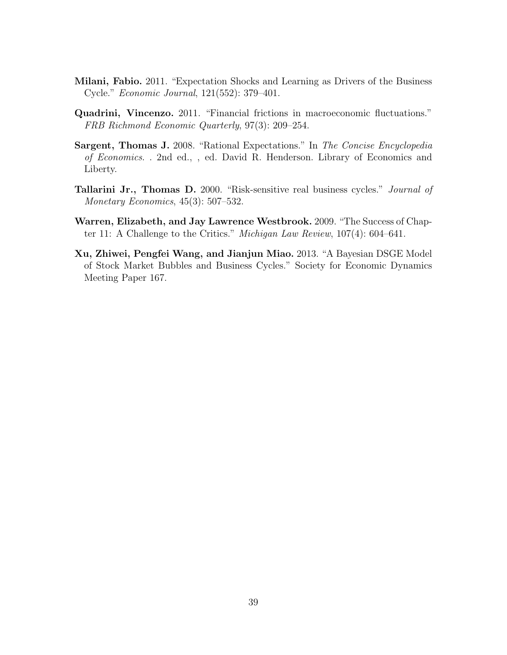- <span id="page-38-3"></span>Milani, Fabio. 2011. "Expectation Shocks and Learning as Drivers of the Business Cycle." Economic Journal, 121(552): 379–401.
- <span id="page-38-0"></span>Quadrini, Vincenzo. 2011. "Financial frictions in macroeconomic fluctuations." FRB Richmond Economic Quarterly, 97(3): 209–254.
- <span id="page-38-5"></span>Sargent, Thomas J. 2008. "Rational Expectations." In The Concise Encyclopedia of Economics. . 2nd ed., , ed. David R. Henderson. Library of Economics and Liberty.
- <span id="page-38-2"></span>**Tallarini Jr., Thomas D.** 2000. "Risk-sensitive real business cycles." *Journal of* Monetary Economics, 45(3): 507–532.
- <span id="page-38-4"></span>Warren, Elizabeth, and Jay Lawrence Westbrook. 2009. "The Success of Chapter 11: A Challenge to the Critics." Michigan Law Review, 107(4): 604–641.
- <span id="page-38-1"></span>Xu, Zhiwei, Pengfei Wang, and Jianjun Miao. 2013. "A Bayesian DSGE Model of Stock Market Bubbles and Business Cycles." Society for Economic Dynamics Meeting Paper 167.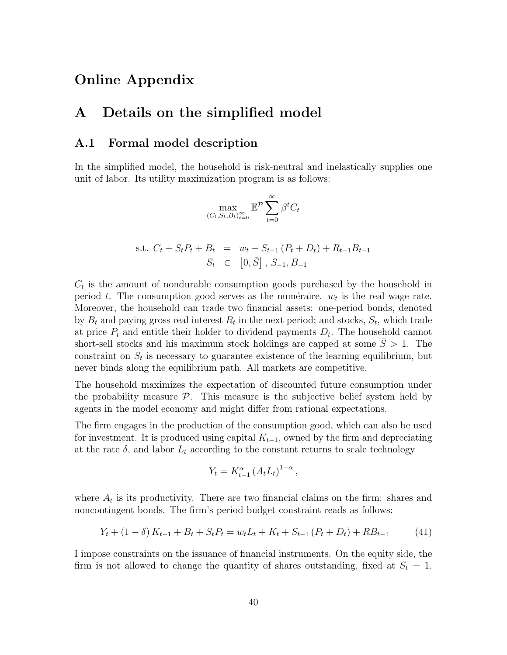## Online Appendix

## A Details on the simplified model

### A.1 Formal model description

In the simplified model, the household is risk-neutral and inelastically supplies one unit of labor. Its utility maximization program is as follows:

$$
\max_{(C_t, S_t, B_t)_{t=0}^{\infty}} \mathbb{E}^{\mathcal{P}} \sum_{t=0}^{\infty} \beta^t C_t
$$

s.t. 
$$
C_t + S_t P_t + B_t = w_t + S_{t-1} (P_t + D_t) + R_{t-1} B_{t-1}
$$
  
 $S_t \in [0, \overline{S}], S_{-1}, B_{-1}$ 

 $C_t$  is the amount of nondurable consumption goods purchased by the household in period t. The consumption good serves as the numéraire.  $w_t$  is the real wage rate. Moreover, the household can trade two financial assets: one-period bonds, denoted by  $B_t$  and paying gross real interest  $R_t$  in the next period; and stocks,  $S_t$ , which trade at price  $P_t$  and entitle their holder to dividend payments  $D_t$ . The household cannot short-sell stocks and his maximum stock holdings are capped at some  $\overline{S} > 1$ . The constraint on  $S_t$  is necessary to guarantee existence of the learning equilibrium, but never binds along the equilibrium path. All markets are competitive.

The household maximizes the expectation of discounted future consumption under the probability measure  $\mathcal{P}$ . This measure is the subjective belief system held by agents in the model economy and might differ from rational expectations.

The firm engages in the production of the consumption good, which can also be used for investment. It is produced using capital  $K_{t-1}$ , owned by the firm and depreciating at the rate  $\delta$ , and labor  $L_t$  according to the constant returns to scale technology

$$
Y_t = K_{t-1}^{\alpha} \left( A_t L_t \right)^{1-\alpha},
$$

where  $A_t$  is its productivity. There are two financial claims on the firm: shares and noncontingent bonds. The firm's period budget constraint reads as follows:

<span id="page-39-0"></span>
$$
Y_t + (1 - \delta) K_{t-1} + B_t + S_t P_t = w_t L_t + K_t + S_{t-1} (P_t + D_t) + R B_{t-1}
$$
 (41)

I impose constraints on the issuance of financial instruments. On the equity side, the firm is not allowed to change the quantity of shares outstanding, fixed at  $S_t = 1$ .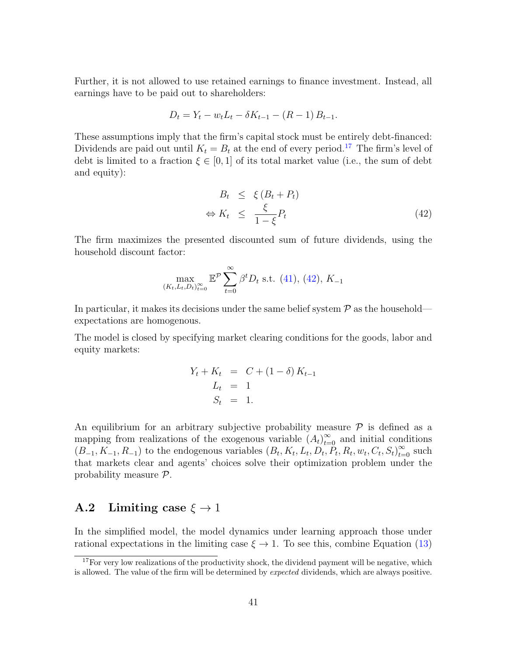Further, it is not allowed to use retained earnings to finance investment. Instead, all earnings have to be paid out to shareholders:

$$
D_t = Y_t - w_t L_t - \delta K_{t-1} - (R - 1) B_{t-1}.
$$

These assumptions imply that the firm's capital stock must be entirely debt-financed: Dividends are paid out until  $K_t = B_t$  at the end of every period.<sup>[17](#page-40-0)</sup> The firm's level of debt is limited to a fraction  $\xi \in [0,1]$  of its total market value (i.e., the sum of debt and equity):

<span id="page-40-1"></span>
$$
B_t \leq \xi (B_t + P_t)
$$
  
\n
$$
\Leftrightarrow K_t \leq \frac{\xi}{1 - \xi} P_t
$$
\n(42)

The firm maximizes the presented discounted sum of future dividends, using the household discount factor:

$$
\max_{(K_t, L_t, D_t)_{t=0}^{\infty}} \mathbb{E}^{\mathcal{P}} \sum_{t=0}^{\infty} \beta^t D_t \text{ s.t. (41), (42), } K_{-1}
$$

In particular, it makes its decisions under the same belief system  $P$  as the household expectations are homogenous.

The model is closed by specifying market clearing conditions for the goods, labor and equity markets:

$$
Y_t + K_t = C + (1 - \delta) K_{t-1}
$$
  
\n
$$
L_t = 1
$$
  
\n
$$
S_t = 1.
$$

An equilibrium for an arbitrary subjective probability measure  $P$  is defined as a mapping from realizations of the exogenous variable  $(A_t)_{t=0}^{\infty}$  and initial conditions  $(B_-, K_-, R_-)$  to the endogenous variables  $(B_t, K_t, L_t, D_t, P_t, R_t, w_t, C_t, S_t)_{t=0}^{\infty}$  such that markets clear and agents' choices solve their optimization problem under the probability measure P.

## A.2 Limiting case  $\xi \rightarrow 1$

In the simplified model, the model dynamics under learning approach those under rational expectations in the limiting case  $\xi \to 1$ . To see this, combine Equation [\(13\)](#page-8-1)

<span id="page-40-0"></span> $17$  For very low realizations of the productivity shock, the dividend payment will be negative, which is allowed. The value of the firm will be determined by *expected* dividends, which are always positive.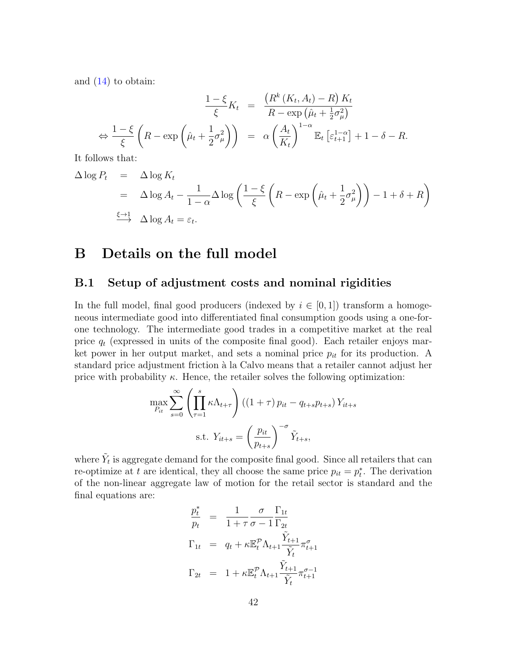and [\(14\)](#page-8-1) to obtain:

$$
\frac{1-\xi}{\xi}K_t = \frac{\left(R^k(K_t, A_t) - R\right)K_t}{R - \exp\left(\hat{\mu}_t + \frac{1}{2}\sigma_\mu^2\right)}
$$
\n
$$
\Leftrightarrow \frac{1-\xi}{\xi}\left(R - \exp\left(\hat{\mu}_t + \frac{1}{2}\sigma_\mu^2\right)\right) = \alpha \left(\frac{A_t}{K_t}\right)^{1-\alpha} \mathbb{E}_t\left[\varepsilon_{t+1}^{1-\alpha}\right] + 1 - \delta - R.
$$
\nand

It follows that:

$$
\Delta \log P_t = \Delta \log K_t
$$
  
=  $\Delta \log A_t - \frac{1}{1-\alpha} \Delta \log \left( \frac{1-\xi}{\xi} \left( R - \exp \left( \hat{\mu}_t + \frac{1}{2} \sigma^2_{\mu} \right) \right) - 1 + \delta + R \right)$   
 $\xrightarrow{\xi \to 1} \Delta \log A_t = \varepsilon_t.$ 

## B Details on the full model

#### B.1 Setup of adjustment costs and nominal rigidities

In the full model, final good producers (indexed by  $i \in [0,1]$ ) transform a homogeneous intermediate good into differentiated final consumption goods using a one-forone technology. The intermediate good trades in a competitive market at the real price  $q_t$  (expressed in units of the composite final good). Each retailer enjoys market power in her output market, and sets a nominal price  $p_{it}$  for its production. A standard price adjustment friction à la Calvo means that a retailer cannot adjust her price with probability  $\kappa$ . Hence, the retailer solves the following optimization:

$$
\max_{P_{it}} \sum_{s=0}^{\infty} \left( \prod_{\tau=1}^{s} \kappa \Lambda_{t+\tau} \right) \left( (1+\tau) p_{it} - q_{t+s} p_{t+s} \right) Y_{it+s}
$$
\n
$$
\text{s.t. } Y_{it+s} = \left( \frac{p_{it}}{p_{t+s}} \right)^{-\sigma} \tilde{Y}_{t+s},
$$

where  $\tilde{Y}_t$  is aggregate demand for the composite final good. Since all retailers that can re-optimize at t are identical, they all choose the same price  $p_{it} = p_t^*$ . The derivation of the non-linear aggregate law of motion for the retail sector is standard and the final equations are:

$$
\frac{p_t^*}{p_t} = \frac{1}{1+\tau} \frac{\sigma}{\sigma-1} \frac{\Gamma_{1t}}{\Gamma_{2t}}
$$
\n
$$
\Gamma_{1t} = q_t + \kappa \mathbb{E}_t^{\mathcal{P}} \Lambda_{t+1} \frac{\tilde{Y}_{t+1}}{\tilde{Y}_t} \pi_{t+1}^{\sigma}
$$
\n
$$
\Gamma_{2t} = 1 + \kappa \mathbb{E}_t^{\mathcal{P}} \Lambda_{t+1} \frac{\tilde{Y}_{t+1}}{\tilde{Y}_t} \pi_{t+1}^{\sigma-1}
$$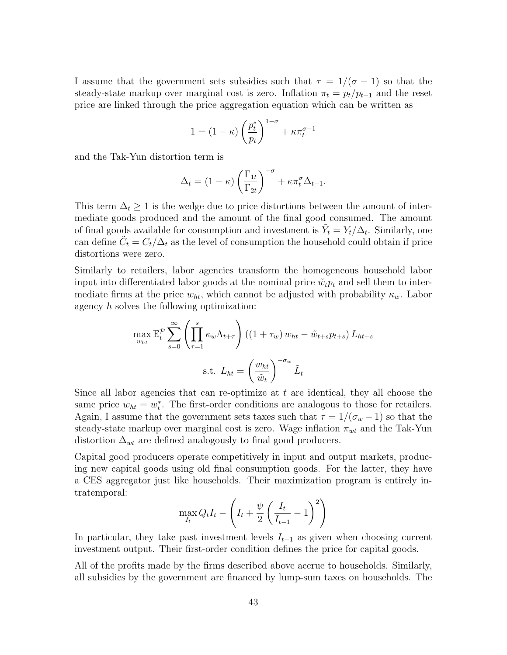I assume that the government sets subsidies such that  $\tau = 1/(\sigma - 1)$  so that the steady-state markup over marginal cost is zero. Inflation  $\pi_t = p_t/p_{t-1}$  and the reset price are linked through the price aggregation equation which can be written as

$$
1 = (1 - \kappa) \left(\frac{p_t^*}{p_t}\right)^{1 - \sigma} + \kappa \pi_t^{\sigma - 1}
$$

and the Tak-Yun distortion term is

$$
\Delta_t = (1 - \kappa) \left(\frac{\Gamma_{1t}}{\Gamma_{2t}}\right)^{-\sigma} + \kappa \pi_t^{\sigma} \Delta_{t-1}.
$$

This term  $\Delta_t \geq 1$  is the wedge due to price distortions between the amount of intermediate goods produced and the amount of the final good consumed. The amount of final goods available for consumption and investment is  $\tilde{Y}_t = Y_t/\Delta_t$ . Similarly, one can define  $\tilde{C}_t = C_t/\Delta_t$  as the level of consumption the household could obtain if price distortions were zero.

Similarly to retailers, labor agencies transform the homogeneous household labor input into differentiated labor goods at the nominal price  $\tilde{w}_t p_t$  and sell them to intermediate firms at the price  $w_{ht}$ , which cannot be adjusted with probability  $\kappa_w$ . Labor agency h solves the following optimization:

$$
\max_{w_{ht}} \mathbb{E}_t^{\mathcal{P}} \sum_{s=0}^{\infty} \left( \prod_{\tau=1}^s \kappa_w \Lambda_{t+\tau} \right) \left( (1 + \tau_w) w_{ht} - \tilde{w}_{t+s} p_{t+s} \right) L_{ht+s}
$$
  
s.t.  $L_{ht} = \left( \frac{w_{ht}}{\tilde{w}_t} \right)^{-\sigma_w} \tilde{L}_t$ 

Since all labor agencies that can re-optimize at  $t$  are identical, they all choose the same price  $w_{ht} = w_t^*$ . The first-order conditions are analogous to those for retailers. Again, I assume that the government sets taxes such that  $\tau = 1/(\sigma_w - 1)$  so that the steady-state markup over marginal cost is zero. Wage inflation  $\pi_{wt}$  and the Tak-Yun distortion  $\Delta_{wt}$  are defined analogously to final good producers.

Capital good producers operate competitively in input and output markets, producing new capital goods using old final consumption goods. For the latter, they have a CES aggregator just like households. Their maximization program is entirely intratemporal:

$$
\max_{I_t} Q_t I_t - \left( I_t + \frac{\psi}{2} \left( \frac{I_t}{I_{t-1}} - 1 \right)^2 \right)
$$

In particular, they take past investment levels  $I_{t-1}$  as given when choosing current investment output. Their first-order condition defines the price for capital goods.

All of the profits made by the firms described above accrue to households. Similarly, all subsidies by the government are financed by lump-sum taxes on households. The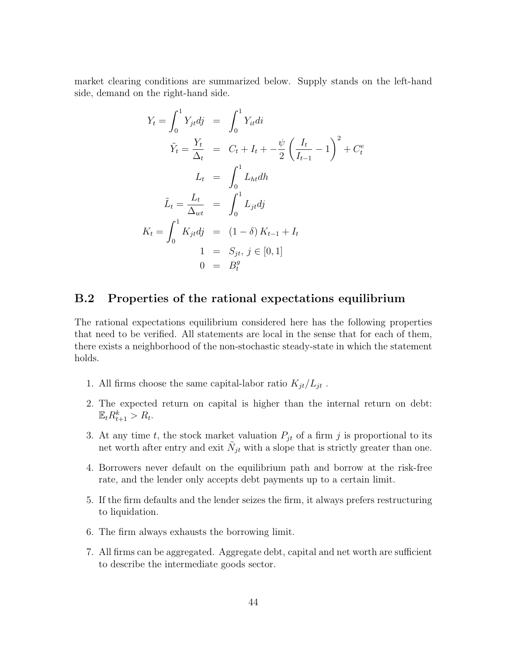market clearing conditions are summarized below. Supply stands on the left-hand side, demand on the right-hand side.

$$
Y_t = \int_0^1 Y_{jt} d\mathbf{j} = \int_0^1 Y_{it} d\mathbf{i}
$$
  
\n
$$
\tilde{Y}_t = \frac{Y_t}{\Delta_t} = C_t + I_t + -\frac{\psi}{2} \left( \frac{I_t}{I_{t-1}} - 1 \right)^2 + C_t^e
$$
  
\n
$$
L_t = \int_0^1 L_{ht} d\mathbf{h}
$$
  
\n
$$
\tilde{L}_t = \frac{L_t}{\Delta_{wt}} = \int_0^1 L_{jt} d\mathbf{j}
$$
  
\n
$$
K_t = \int_0^1 K_{jt} d\mathbf{j} = (1 - \delta) K_{t-1} + I_t
$$
  
\n
$$
1 = S_{jt}, \mathbf{j} \in [0, 1]
$$
  
\n
$$
0 = B_t^g
$$

### B.2 Properties of the rational expectations equilibrium

The rational expectations equilibrium considered here has the following properties that need to be verified. All statements are local in the sense that for each of them, there exists a neighborhood of the non-stochastic steady-state in which the statement holds.

- <span id="page-43-0"></span>1. All firms choose the same capital-labor ratio  $K_{jt}/L_{jt}$ .
- <span id="page-43-1"></span>2. The expected return on capital is higher than the internal return on debt:  $\mathbb{E}_t R_{t+1}^k > R_t.$
- <span id="page-43-2"></span>3. At any time t, the stock market valuation  $P_{jt}$  of a firm j is proportional to its net worth after entry and exit  $\tilde{N}_{jt}$  with a slope that is strictly greater than one.
- <span id="page-43-3"></span>4. Borrowers never default on the equilibrium path and borrow at the risk-free rate, and the lender only accepts debt payments up to a certain limit.
- <span id="page-43-6"></span>5. If the firm defaults and the lender seizes the firm, it always prefers restructuring to liquidation.
- <span id="page-43-4"></span>6. The firm always exhausts the borrowing limit.
- <span id="page-43-5"></span>7. All firms can be aggregated. Aggregate debt, capital and net worth are sufficient to describe the intermediate goods sector.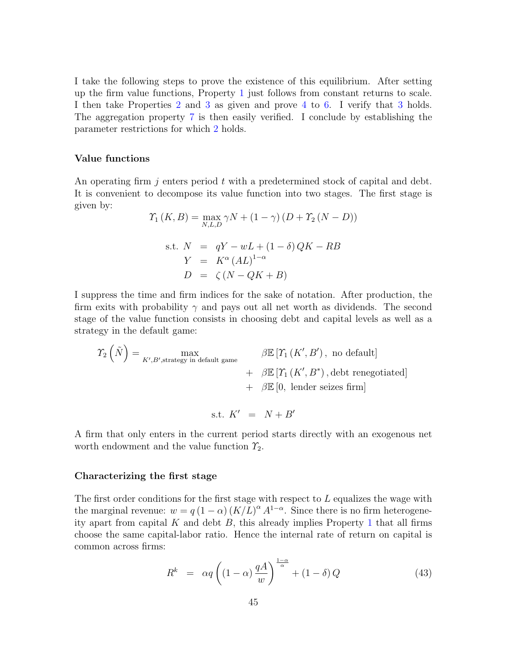I take the following steps to prove the existence of this equilibrium. After setting up the firm value functions, Property [1](#page-43-0) just follows from constant returns to scale. I then take Properties [2](#page-43-1) and [3](#page-43-2) as given and prove [4](#page-43-3) to [6.](#page-43-4) I verify that [3](#page-43-2) holds. The aggregation property [7](#page-43-5) is then easily verified. I conclude by establishing the parameter restrictions for which [2](#page-43-1) holds.

#### Value functions

An operating firm j enters period t with a predetermined stock of capital and debt. It is convenient to decompose its value function into two stages. The first stage is given by:

$$
\begin{aligned} \Upsilon_1\left(K, B\right) &= \max_{N, L, D} \gamma N + (1 - \gamma) \left(D + \Upsilon_2 \left(N - D\right)\right) \\ \text{s.t. } N &= qY - wL + (1 - \delta) \, QK - RB \\ Y &= K^\alpha \left(A L\right)^{1 - \alpha} \\ D &= \zeta \left(N - QK + B\right) \end{aligned}
$$

I suppress the time and firm indices for the sake of notation. After production, the firm exits with probability  $\gamma$  and pays out all net worth as dividends. The second stage of the value function consists in choosing debt and capital levels as well as a strategy in the default game:

$$
\begin{aligned}\n\Upsilon_2\left(\tilde{N}\right) &= \max_{K',B',\text{strategy in default game}} \beta \mathbb{E}\left[\Upsilon_1\left(K',B'\right)\right], \text{ no default}\right] \\
&\quad + \beta \mathbb{E}\left[\Upsilon_1\left(K',B^*\right)\right], \text{debt renegotiated}\right] \\
&\quad + \beta \mathbb{E}\left[0, \text{ lender seizes firm}\right] \\
&\quad \text{s.t. } K' = N + B'\n\end{aligned}
$$

A firm that only enters in the current period starts directly with an exogenous net worth endowment and the value function  $\mathcal{Y}_2$ .

#### Characterizing the first stage

The first order conditions for the first stage with respect to  $L$  equalizes the wage with the marginal revenue:  $w = q(1 - \alpha) (K/L)^{\alpha} A^{1-\alpha}$ . Since there is no firm heterogeneity apart from capital  $K$  and debt  $B$ , this already implies Property [1](#page-43-0) that all firms choose the same capital-labor ratio. Hence the internal rate of return on capital is common across firms:

$$
R^{k} = \alpha q \left( (1 - \alpha) \frac{qA}{w} \right)^{\frac{1 - \alpha}{\alpha}} + (1 - \delta) Q \tag{43}
$$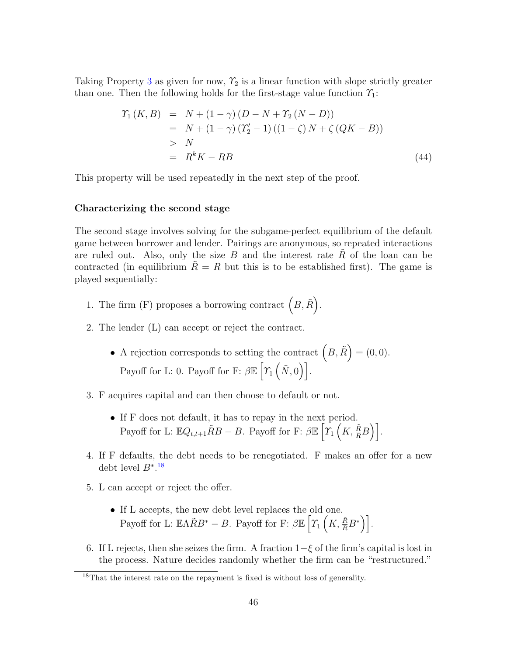Taking Property [3](#page-43-2) as given for now,  $\mathcal{Y}_2$  is a linear function with slope strictly greater than one. Then the following holds for the first-stage value function  $\gamma_1$ :

$$
\begin{aligned}\n\Upsilon_1\,(K,B) &= N + (1 - \gamma)\,(D - N + \Upsilon_2\,(N - D)) \\
&= N + (1 - \gamma)\,(Y_2' - 1)\,((1 - \zeta)\,N + \zeta\,(QK - B)) \\
&> N \\
&= R^k K - RB\n\end{aligned} \tag{44}
$$

This property will be used repeatedly in the next step of the proof.

#### Characterizing the second stage

The second stage involves solving for the subgame-perfect equilibrium of the default game between borrower and lender. Pairings are anonymous, so repeated interactions are ruled out. Also, only the size B and the interest rate  $\tilde{R}$  of the loan can be contracted (in equilibrium  $\ddot{R} = R$  but this is to be established first). The game is played sequentially:

- 1. The firm (F) proposes a borrowing contract  $(B, \tilde{R})$ .
- 2. The lender (L) can accept or reject the contract.
	- A rejection corresponds to setting the contract  $(B, \tilde{R}) = (0, 0)$ . Payoff for L: 0. Payoff for F:  $\beta \mathbb{E} \left[ \gamma_1 \left( \tilde{N}, 0 \right) \right]$ .
- 3. F acquires capital and can then choose to default or not.
	- If F does not default, it has to repay in the next period. Payoff for L:  $\mathbb{E}Q_{t,t+1}\tilde{R}B - B$ . Payoff for F:  $\beta \mathbb{E}\left[\gamma_1\left(K, \frac{\tilde{R}}{R}B\right)\right]$ .
- 4. If F defaults, the debt needs to be renegotiated. F makes an offer for a new debt level  $B^*$ .<sup>[18](#page-45-0)</sup>
- 5. L can accept or reject the offer.
	- If L accepts, the new debt level replaces the old one. Payoff for L:  $\mathbb{E}\Lambda \tilde{R}B^* - B$ . Payoff for F:  $\beta \mathbb{E}\left[\gamma_1\left(K, \frac{\tilde{R}}{R}B^*\right)\right]$ .
- 6. If L rejects, then she seizes the firm. A fraction  $1-\xi$  of the firm's capital is lost in the process. Nature decides randomly whether the firm can be "restructured."

<span id="page-45-0"></span><sup>&</sup>lt;sup>18</sup>That the interest rate on the repayment is fixed is without loss of generality.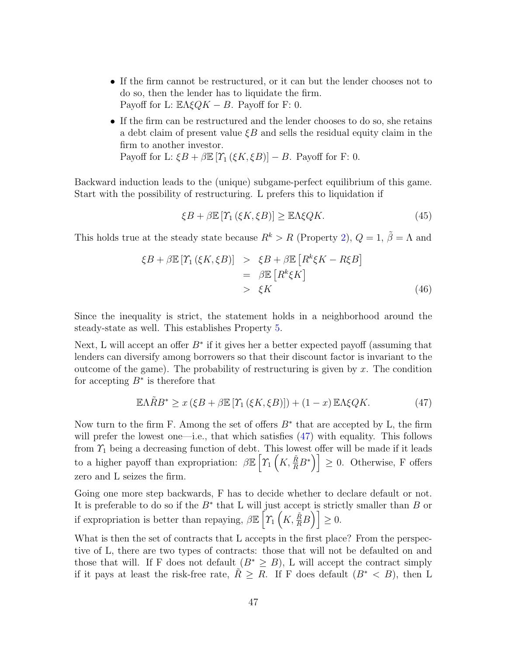- If the firm cannot be restructured, or it can but the lender chooses not to do so, then the lender has to liquidate the firm. Payoff for L:  $\mathbb{E}\Lambda \xi QK - B$ . Payoff for F: 0.
- If the firm can be restructured and the lender chooses to do so, she retains a debt claim of present value  $\zeta B$  and sells the residual equity claim in the firm to another investor. Payoff for L:  $\xi B + \beta \mathbb{E} [\Upsilon_1 (\xi K, \xi B)] - B$ . Payoff for F: 0.

Backward induction leads to the (unique) subgame-perfect equilibrium of this game. Start with the possibility of restructuring. L prefers this to liquidation if

$$
\xi B + \beta \mathbb{E}\left[\Upsilon_1\left(\xi K, \xi B\right)\right] \ge \mathbb{E}\Lambda \xi QK. \tag{45}
$$

This holds true at the steady state because  $R^k > R$  (Property [2\)](#page-43-1),  $Q = 1$ ,  $\tilde{\beta} = \Lambda$  and

$$
\xi B + \beta \mathbb{E} \left[ T_1 \left( \xi K, \xi B \right) \right] \geq \xi B + \beta \mathbb{E} \left[ R^k \xi K - R \xi B \right] \n= \beta \mathbb{E} \left[ R^k \xi K \right] \n> \xi K
$$
\n(46)

Since the inequality is strict, the statement holds in a neighborhood around the steady-state as well. This establishes Property [5.](#page-43-6)

Next, L will accept an offer  $B^*$  if it gives her a better expected payoff (assuming that lenders can diversify among borrowers so that their discount factor is invariant to the outcome of the game). The probability of restructuring is given by  $x$ . The condition for accepting  $B^*$  is therefore that

<span id="page-46-0"></span>
$$
\mathbb{E}\Lambda\tilde{R}B^* \geq x\left(\xi B + \beta \mathbb{E}\left[\Upsilon_1\left(\xi K, \xi B\right)\right]\right) + (1-x)\,\mathbb{E}\Lambda\xi QK.\tag{47}
$$

Now turn to the firm F. Among the set of offers  $B^*$  that are accepted by L, the firm will prefer the lowest one—i.e., that which satisfies  $(47)$  with equality. This follows from  $\mathcal{T}_1$  being a decreasing function of debt. This lowest offer will be made if it leads to a higher payoff than expropriation:  $\beta \mathbb{E}\left[\gamma_1\left(K, \frac{\tilde{R}}{R} B^*\right)\right] \geq 0$ . Otherwise, F offers zero and L seizes the firm.

Going one more step backwards, F has to decide whether to declare default or not. It is preferable to do so if the  $B^*$  that L will just accept is strictly smaller than B or if expropriation is better than repaying,  $\beta \mathbb{E}\left[\gamma_1\left(K, \frac{\tilde{R}}{R}B\right)\right] \geq 0.$ 

What is then the set of contracts that L accepts in the first place? From the perspective of L, there are two types of contracts: those that will not be defaulted on and those that will. If F does not default  $(B^* \geq B)$ , L will accept the contract simply if it pays at least the risk-free rate,  $R \geq R$ . If F does default  $(B^* < B)$ , then L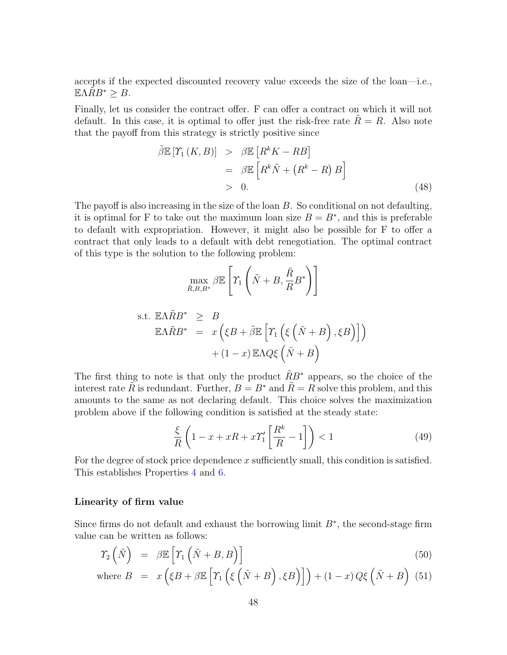accepts if the expected discounted recovery value exceeds the size of the loan—i.e.,  $\mathbb{E} \Lambda R B^* \geq B$ .

Finally, let us consider the contract offer. F can offer a contract on which it will not default. In this case, it is optimal to offer just the risk-free rate  $R = R$ . Also note that the payoff from this strategy is strictly positive since

$$
\tilde{\beta} \mathbb{E} [T_1 (K, B)] > \beta \mathbb{E} [R^k K - RB]
$$
  
=  $\beta \mathbb{E} [R^k \tilde{N} + (R^k - R) B]$   
> 0. (48)

The payoff is also increasing in the size of the loan B. So conditional on not defaulting, it is optimal for F to take out the maximum loan size  $B = B^*$ , and this is preferable to default with expropriation. However, it might also be possible for F to offer a contract that only leads to a default with debt renegotiation. The optimal contract of this type is the solution to the following problem:

$$
\max_{\tilde{R},B,B^*} \beta \mathbb{E}\left[\Upsilon_1\left(\tilde{N} + B, \frac{\tilde{R}}{R}B^*\right)\right]
$$

s.t. 
$$
\mathbb{E}\Lambda \tilde{R}B^* \geq B
$$
  
\n $\mathbb{E}\Lambda \tilde{R}B^* = x(\xi B + \tilde{\beta}\mathbb{E}\left[\Upsilon_1(\xi(\tilde{N} + B), \xi B)\right])$   
\n $+(1-x)\mathbb{E}\Lambda Q\xi(\tilde{N} + B)$ 

The first thing to note is that only the product  $\tilde{R}B^*$  appears, so the choice of the interest rate R is redundant. Further,  $B = B^*$  and  $R = R$  solve this problem, and this amounts to the same as not declaring default. This choice solves the maximization problem above if the following condition is satisfied at the steady state:

$$
\frac{\xi}{R} \left( 1 - x + xR + x\gamma_1' \left[ \frac{R^k}{R} - 1 \right] \right) < 1 \tag{49}
$$

For the degree of stock price dependence  $x$  sufficiently small, this condition is satisfied. This establishes Properties [4](#page-43-3) and [6.](#page-43-4)

#### Linearity of firm value

Since firms do not default and exhaust the borrowing limit  $B^*$ , the second-stage firm value can be written as follows:

$$
\Upsilon_2\left(\tilde{N}\right) = \beta \mathbb{E}\left[\Upsilon_1\left(\tilde{N} + B, B\right)\right] \tag{50}
$$

where 
$$
B = x (\xi B + \beta \mathbb{E} [T_1 (\xi (\tilde{N} + B), \xi B)]) + (1 - x) Q \xi (\tilde{N} + B)
$$
 (51)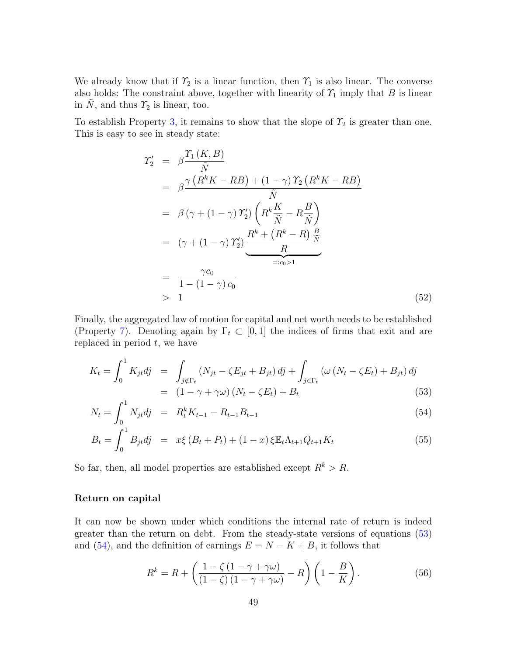We already know that if  $\mathcal{T}_2$  is a linear function, then  $\mathcal{T}_1$  is also linear. The converse also holds: The constraint above, together with linearity of  $\mathcal{T}_1$  imply that B is linear in  $\tilde{N}$ , and thus  $\tilde{T}_2$  is linear, too.

To establish Property [3,](#page-43-2) it remains to show that the slope of  $\mathcal{T}_2$  is greater than one. This is easy to see in steady state:

$$
\begin{split}\n\Upsilon'_{2} &= \beta \frac{\Upsilon_{1}(K,B)}{\tilde{N}} \\
&= \beta \frac{\gamma \left(R^{k}K - RB\right) + (1 - \gamma) \Upsilon_{2} \left(R^{k}K - RB\right)}{\tilde{N}} \\
&= \beta \left(\gamma + (1 - \gamma) \Upsilon'_{2}\right) \left(R^{k} \frac{K}{\tilde{N}} - R \frac{B}{\tilde{N}}\right) \\
&= (\gamma + (1 - \gamma) \Upsilon'_{2}) \underbrace{\frac{R^{k} + \left(R^{k} - R\right) \frac{B}{\tilde{N}}}{R}}_{=:c_{0}>1} \\
&= \frac{\gamma c_{0}}{1 - (1 - \gamma) c_{0}}\n\end{split}
$$
\n(52)

Finally, the aggregated law of motion for capital and net worth needs to be established (Property [7\)](#page-43-5). Denoting again by  $\Gamma_t \subset [0,1]$  the indices of firms that exit and are replaced in period  $t$ , we have

<span id="page-48-0"></span>
$$
K_t = \int_0^1 K_{jt} d\mathbf{j} = \int_{j \notin \Gamma_t} (N_{jt} - \zeta E_{jt} + B_{jt}) d\mathbf{j} + \int_{j \in \Gamma_t} (\omega (N_t - \zeta E_t) + B_{jt}) d\mathbf{j}
$$
  
=  $(1 - \gamma + \gamma \omega) (N_t - \zeta E_t) + B_t$  (53)

$$
N_t = \int_0^1 N_{jt} dj = R_t^k K_{t-1} - R_{t-1} B_{t-1}
$$
\n(54)

$$
B_t = \int_0^1 B_{jt} dj = x\xi (B_t + P_t) + (1 - x)\xi \mathbb{E}_t \Lambda_{t+1} Q_{t+1} K_t
$$
\n(55)

So far, then, all model properties are established except  $R^k > R$ .

#### Return on capital

It can now be shown under which conditions the internal rate of return is indeed greater than the return on debt. From the steady-state versions of equations [\(53\)](#page-48-0) and [\(54\)](#page-48-0), and the definition of earnings  $E = N - K + B$ , it follows that

$$
R^{k} = R + \left(\frac{1 - \zeta(1 - \gamma + \gamma\omega)}{(1 - \zeta)(1 - \gamma + \gamma\omega)} - R\right)\left(1 - \frac{B}{K}\right). \tag{56}
$$